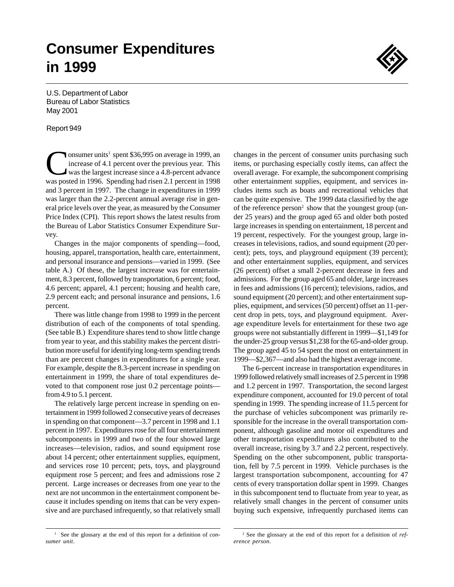# **Consumer Expenditures in 1999**

U.S. Department of Labor Bureau of Labor Statistics May 2001

#### Report 949

onsumer units<sup>1</sup> spent \$36,995 on average in 1999, an increase of 4.1 percent over the previous year. This was the largest increase since a 4.8-percent advance was posted in 1996. Spending had risen 2.1 percent in 1998 and 3 percent in 1997. The change in expenditures in 1999 was larger than the 2.2-percent annual average rise in general price levels over the year, as measured by the Consumer Price Index (CPI). This report shows the latest results from the Bureau of Labor Statistics Consumer Expenditure Survey.

Changes in the major components of spending—food, housing, apparel, transportation, health care, entertainment, and personal insurance and pensions—varied in 1999. (See table A.) Of these, the largest increase was for entertainment, 8.3 percent, followed by transportation, 6 percent; food, 4.6 percent; apparel, 4.1 percent; housing and health care, 2.9 percent each; and personal insurance and pensions, 1.6 percent.

There was little change from 1998 to 1999 in the percent distribution of each of the components of total spending. (See table B.) Expenditure shares tend to show little change from year to year, and this stability makes the percent distribution more useful for identifying long-term spending trends than are percent changes in expenditures for a single year. For example, despite the 8.3-percent increase in spending on entertainment in 1999, the share of total expenditures devoted to that component rose just 0.2 percentage points from 4.9 to 5.1 percent.

The relatively large percent increase in spending on entertainment in 1999 followed 2 consecutive years of decreases in spending on that component—3.7 percent in 1998 and 1.1 percent in 1997. Expenditures rose for all four entertainment subcomponents in 1999 and two of the four showed large increases—television, radios, and sound equipment rose about 14 percent; other entertainment supplies, equipment, and services rose 10 percent; pets, toys, and playground equipment rose 5 percent; and fees and admissions rose 2 percent. Large increases or decreases from one year to the next are not uncommon in the entertainment component because it includes spending on items that can be very expensive and are purchased infrequently, so that relatively small changes in the percent of consumer units purchasing such items, or purchasing especially costly items, can affect the overall average. For example, the subcomponent comprising other entertainment supplies, equipment, and services includes items such as boats and recreational vehicles that can be quite expensive. The 1999 data classified by the age of the reference person<sup>2</sup> show that the youngest group (under 25 years) and the group aged 65 and older both posted large increases in spending on entertainment, 18 percent and 19 percent, respectively. For the youngest group, large increases in televisions, radios, and sound equipment (20 percent); pets, toys, and playground equipment (39 percent); and other entertainment supplies, equipment, and services (26 percent) offset a small 2-percent decrease in fees and admissions. For the group aged 65 and older, large increases in fees and admissions (16 percent); televisions, radios, and sound equipment (20 percent); and other entertainment supplies, equipment, and services (50 percent) offset an 11-percent drop in pets, toys, and playground equipment. Average expenditure levels for entertainment for these two age groups were not substantially different in 1999—\$1,149 for the under-25 group versus \$1,238 for the 65-and-older group. The group aged 45 to 54 spent the most on entertainment in 1999—\$2,367—and also had the highest average income.

The 6-percent increase in transportation expenditures in 1999 followed relatively small increases of 2.5 percent in 1998 and 1.2 percent in 1997. Transportation, the second largest expenditure component, accounted for 19.0 percent of total spending in 1999. The spending increase of 11.5 percent for the purchase of vehicles subcomponent was primarily responsible for the increase in the overall transportation component, although gasoline and motor oil expenditures and other transportation expenditures also contributed to the overall increase, rising by 3.7 and 2.2 percent, respectively. Spending on the other subcomponent, public transportation, fell by 7.5 percent in 1999. Vehicle purchases is the largest transportation subcomponent, accounting for 47 cents of every transportation dollar spent in 1999. Changes in this subcomponent tend to fluctuate from year to year, as relatively small changes in the percent of consumer units buying such expensive, infrequently purchased items can

<sup>&</sup>lt;sup>1</sup> See the glossary at the end of this report for a definition of *consumer unit*.

<sup>2</sup> See the glossary at the end of this report for a definition of *reference person*.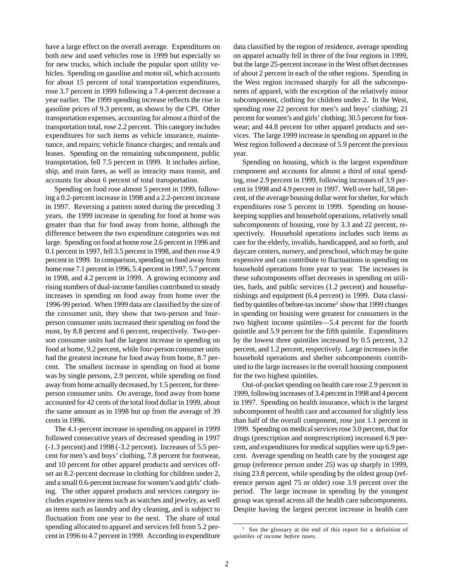have a large effect on the overall average. Expenditures on both new and used vehicles rose in 1999 but especially so for new trucks, which include the popular sport utility vehicles. Spending on gasoline and motor oil, which accounts for about 15 percent of total transportation expenditures, rose 3.7 percent in 1999 following a 7.4-percent decrease a year earlier. The 1999 spending increase reflects the rise in gasoline prices of 9.3 percent, as shown by the CPI. Other transportation expenses, accounting for almost a third of the transportation total, rose 2.2 percent. This category includes expenditures for such items as vehicle insurance, maintenance, and repairs; vehicle finance charges; and rentals and leases. Spending on the remaining subcomponent, public transportation, fell 7.5 percent in 1999. It includes airline, ship, and train fares, as well as intracity mass transit, and accounts for about 6 percent of total transportation.

Spending on food rose almost 5 percent in 1999, following a 0.2-percent increase in 1998 and a 2.2-percent increase in 1997. Reversing a pattern noted during the preceding 3 years, the 1999 increase in spending for food at home was greater than that for food away from home, although the difference between the two expenditure categories was not large. Spending on food at home rose 2.6 percent in 1996 and 0.1 percent in 1997, fell 3.5 percent in 1998, and then rose 4.9 percent in 1999. In comparison, spending on food away from home rose 7.1 percent in 1996, 5.4 percent in 1997, 5.7 percent in 1998, and 4.2 percent in 1999. A growing economy and rising numbers of dual-income families contributed to steady increases in spending on food away from home over the 1996-99 period. When 1999 data are classified by the size of the consumer unit, they show that two-person and fourperson consumer units increased their spending on food the most, by 8.8 percent and 6 percent, respectively. Two-person consumer units had the largest increase in spending on food at home, 9.2 percent, while four-person consumer units had the greatest increase for food away from home, 8.7 percent. The smallest increase in spending on food at home was by single persons, 2.9 percent, while spending on food away from home actually decreased, by 1.5 percent, for threeperson consumer units. On average, food away from home accounted for 42 cents of the total food dollar in 1999, about the same amount as in 1998 but up from the average of 39 cents in 1996.

The 4.1-percent increase in spending on apparel in 1999 followed consecutive years of decreased spending in 1997 (-1.3 percent) and 1998 (-3.2 percent). Increases of 5.5 percent for men's and boys' clothing, 7.8 percent for footwear, and 10 percent for other apparel products and services offset an 8.2-percent decrease in clothing for children under 2, and a small 0.6-percent increase for women's and girls' clothing. The other apparel products and services category includes expensive items such as watches and jewelry, as well as items such as laundry and dry cleaning, and is subject to fluctuation from one year to the next. The share of total spending allocated to apparel and services fell from 5.2 percent in 1996 to 4.7 percent in 1999. According to expenditure data classified by the region of residence, average spending on apparel actually fell in three of the four regions in 1999, but the large 25-percent increase in the West offset decreases of about 2 percent in each of the other regions. Spending in the West region increased sharply for all the subcomponents of apparel, with the exception of the relatively minor subcomponent, clothing for children under 2. In the West, spending rose 22 percent for men's and boys' clothing; 21 percent for women's and girls' clothing; 30.5 percent for footwear; and 44.8 percent for other apparel products and services. The large 1999 increase in spending on apparel in the West region followed a decrease of 5.9 percent the previous year.

Spending on housing, which is the largest expenditure component and accounts for almost a third of total spending, rose 2.9 percent in 1999, following increases of 3.9 percent in 1998 and 4.9 percent in 1997. Well over half, 58 percent, of the average housing dollar went for shelter, for which expenditures rose 5 percent in 1999. Spending on housekeeping supplies and household operations, relatively small subcomponents of housing, rose by 3.3 and 22 percent, respectively. Household operations includes such items as care for the elderly, invalids, handicapped, and so forth, and daycare centers, nursery, and preschool, which may be quite expensive and can contribute to fluctuations in spending on household operations from year to year. The increases in these subcomponents offset decreases in spending on utilities, fuels, and public services (1.2 percent) and housefurnishings and equipment (6.4 percent) in 1999. Data classified by quintiles of before-tax income<sup>3</sup> show that 1999 changes in spending on housing were greatest for consumers in the two highest income quintiles—5.4 percent for the fourth quintile and 5.9 percent for the fifth quintile. Expenditures by the lowest three quintiles increased by 0.5 percent, 3.2 percent, and 1.2 percent, respectively. Large increases in the household operations and shelter subcomponents contributed to the large increases in the overall housing component for the two highest quintiles.

Out-of-pocket spending on health care rose 2.9 percent in 1999, following increases of 3.4 percent in 1998 and 4 percent in 1997. Spending on health insurance, which is the largest subcomponent of health care and accounted for slightly less than half of the overall component, rose just 1.1 percent in 1999. Spending on medical services rose 3.0 percent, that for drugs (prescription and nonprescription) increased 6.9 percent, and expenditures for medical supplies were up 6.9 percent. Average spending on health care by the youngest age group (reference person under 25) was up sharply in 1999, rising 23.8 percent, while spending by the oldest group (reference person aged 75 or older) rose 3.9 percent over the period. The large increase in spending by the youngest group was spread across all the health care subcomponents. Despite having the largest percent increase in health care

<sup>&</sup>lt;sup>3</sup> See the glossary at the end of this report for a definition of *quintiles of income before taxes.*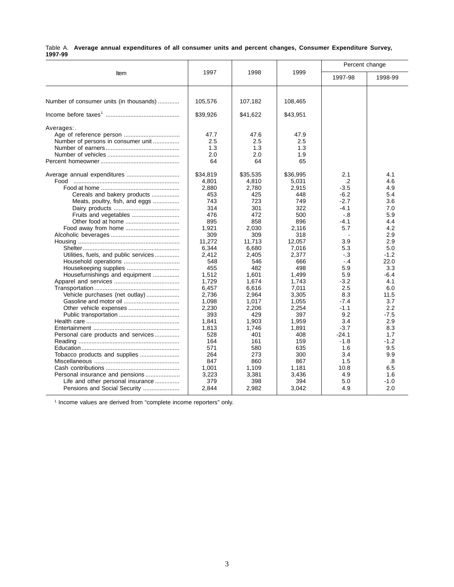|         | Table A. Average annual expenditures of all consumer units and percent changes, Consumer Expenditure Survey, |  |  |  |  |  |
|---------|--------------------------------------------------------------------------------------------------------------|--|--|--|--|--|
| 1997-99 |                                                                                                              |  |  |  |  |  |

|                                         |          |          |          | Percent change |         |  |
|-----------------------------------------|----------|----------|----------|----------------|---------|--|
| Item                                    | 1997     | 1998     | 1999     | 1997-98        | 1998-99 |  |
| Number of consumer units (in thousands) | 105,576  | 107,182  | 108,465  |                |         |  |
|                                         | \$39,926 | \$41,622 | \$43,951 |                |         |  |
| Averages:                               |          |          |          |                |         |  |
|                                         | 47.7     | 47.6     | 47.9     |                |         |  |
| Number of persons in consumer unit      | 2.5      | 2.5      | 2.5      |                |         |  |
|                                         | 1.3      | 1.3      | 1.3      |                |         |  |
|                                         | 2.0      | 2.0      | 1.9      |                |         |  |
|                                         | 64       | 64       | 65       |                |         |  |
|                                         | \$34,819 | \$35,535 | \$36,995 | 2.1            | 4.1     |  |
|                                         | 4,801    | 4,810    | 5,031    | $\cdot$ .2     | 4.6     |  |
|                                         | 2,880    | 2,780    | 2,915    | $-3.5$         | 4.9     |  |
| Cereals and bakery products             | 453      | 425      | 448      | $-6.2$         | 5.4     |  |
| Meats, poultry, fish, and eggs          | 743      | 723      | 749      | $-2.7$         | 3.6     |  |
|                                         | 314      | 301      | 322      | $-4.1$         | 7.0     |  |
|                                         | 476      | 472      | 500      | $-.8$          | 5.9     |  |
|                                         | 895      | 858      | 896      | $-4.1$         | 4.4     |  |
| Food away from home                     | 1,921    | 2,030    | 2,116    | 5.7            | 4.2     |  |
|                                         | 309      | 309      | 318      |                | 2.9     |  |
|                                         | 11,272   | 11,713   | 12,057   | 3.9            | 2.9     |  |
|                                         | 6,344    | 6,680    | 7,016    | 5.3            | 5.0     |  |
| Utilities, fuels, and public services   | 2,412    | 2,405    | 2,377    | $-.3$          | $-1.2$  |  |
|                                         | 548      | 546      | 666      | $-4$           | 22.0    |  |
| Housekeeping supplies                   | 455      | 482      | 498      | 5.9            | 3.3     |  |
| Housefurnishings and equipment          | 1,512    | 1,601    | 1,499    | 5.9            | $-6.4$  |  |
|                                         | 1,729    | 1,674    | 1,743    | $-3.2$         | 4.1     |  |
|                                         | 6,457    | 6,616    | 7,011    | 2.5            | 6.0     |  |
| Vehicle purchases (net outlay)          | 2,736    | 2,964    | 3,305    | 8.3            | 11.5    |  |
|                                         | 1,098    | 1,017    | 1,055    | $-7.4$         | 3.7     |  |
|                                         | 2,230    | 2,206    | 2.254    | $-1.1$         | 2.2     |  |
|                                         | 393      | 429      | 397      | 9.2            | $-7.5$  |  |
|                                         | 1,841    | 1,903    | 1,959    | 3.4            | 2.9     |  |
|                                         | 1,813    | 1,746    | 1,891    | $-3.7$         | 8.3     |  |
| Personal care products and services     | 528      | 401      | 408      | $-24.1$        | 1.7     |  |
|                                         | 164      | 161      | 159      | $-1.8$         | $-1.2$  |  |
|                                         | 571      | 580      | 635      | 1.6            | 9.5     |  |
| Tobacco products and supplies           | 264      | 273      | 300      | 3.4            | 9.9     |  |
|                                         | 847      | 860      | 867      | 1.5            | .8      |  |
|                                         | 1,001    | 1,109    | 1,181    | 10.8           | 6.5     |  |
|                                         | 3,223    | 3,381    | 3,436    | 4.9            | 1.6     |  |
| Life and other personal insurance       | 379      | 398      | 394      | 5.0            | $-1.0$  |  |
| Pensions and Social Security            | 2,844    | 2,982    | 3,042    | 4.9            | 2.0     |  |

<sup>1</sup> Income values are derived from "complete income reporters" only.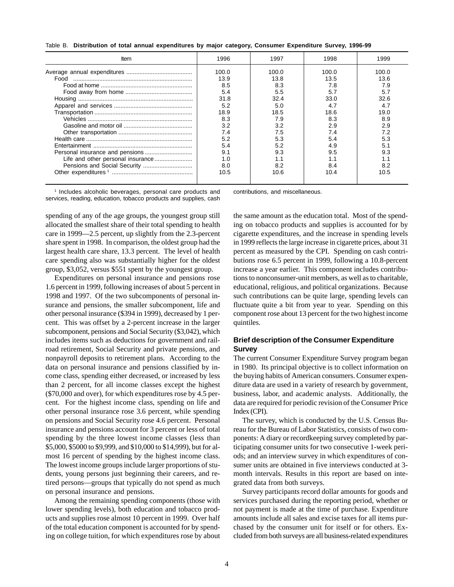|  |  |  |  | Table B. Distribution of total annual expenditures by major category, Consumer Expenditure Survey, 1996-99 |  |  |  |  |  |  |  |
|--|--|--|--|------------------------------------------------------------------------------------------------------------|--|--|--|--|--|--|--|
|--|--|--|--|------------------------------------------------------------------------------------------------------------|--|--|--|--|--|--|--|

| Item                         | 1996  | 1997  | 1998  | 1999  |
|------------------------------|-------|-------|-------|-------|
|                              | 100.0 | 100.0 | 100.0 | 100.0 |
| Food                         | 13.9  | 13.8  | 13.5  | 13.6  |
|                              | 8.5   | 8.3   | 7.8   | 7.9   |
|                              | 5.4   | 5.5   | 5.7   | 5.7   |
|                              | 31.8  | 32.4  | 33.0  | 32.6  |
|                              | 5.2   | 5.0   |       | 4.7   |
|                              | 18.9  | 18.5  | 18.6  | 19.0  |
|                              | 8.3   | 7.9   | 8.3   | 8.9   |
|                              | 3.2   | 3.2   | 2.9   | 2.9   |
|                              | 7.4   | 7.5   | 7.4   | 7.2   |
|                              | 5.2   |       | 5.4   |       |
|                              | 5.4   | 52    | 4.9   |       |
|                              | 9.1   | 9.3   | 9.5   | 9.3   |
|                              | 1.0   |       |       |       |
| Pensions and Social Security | 8.0   |       | 8.4   | 8.2   |
|                              | 10.5  | 10.6  | 10.4  | 10.5  |
|                              |       |       |       |       |

1 Includes alcoholic beverages, personal care products and services, reading, education, tobacco products and supplies, cash

spending of any of the age groups, the youngest group still allocated the smallest share of their total spending to health care in 1999—2.5 percent, up slightly from the 2.3-percent share spent in 1998. In comparison, the oldest group had the largest health care share, 13.3 percent. The level of health care spending also was substantially higher for the oldest group, \$3,052, versus \$551 spent by the youngest group.

Expenditures on personal insurance and pensions rose 1.6 percent in 1999, following increases of about 5 percent in 1998 and 1997. Of the two subcomponents of personal insurance and pensions, the smaller subcomponent, life and other personal insurance (\$394 in 1999), decreased by 1 percent. This was offset by a 2-percent increase in the larger subcomponent, pensions and Social Security (\$3,042), which includes items such as deductions for government and railroad retirement, Social Security and private pensions, and nonpayroll deposits to retirement plans. According to the data on personal insurance and pensions classified by income class, spending either decreased, or increased by less than 2 percent, for all income classes except the highest (\$70,000 and over), for which expenditures rose by 4.5 percent. For the highest income class, spending on life and other personal insurance rose 3.6 percent, while spending on pensions and Social Security rose 4.6 percent. Personal insurance and pensions account for 3 percent or less of total spending by the three lowest income classes (less than \$5,000, \$5000 to \$9,999, and \$10,000 to \$14,999), but for almost 16 percent of spending by the highest income class. The lowest income groups include larger proportions of students, young persons just beginning their careers, and retired persons—groups that typically do not spend as much on personal insurance and pensions.

Among the remaining spending components (those with lower spending levels), both education and tobacco products and supplies rose almost 10 percent in 1999. Over half of the total education component is accounted for by spending on college tuition, for which expenditures rose by about contributions, and miscellaneous.

the same amount as the education total. Most of the spending on tobacco products and supplies is accounted for by cigarette expenditures, and the increase in spending levels in 1999 reflects the large increase in cigarette prices, about 31 percent as measured by the CPI. Spending on cash contributions rose 6.5 percent in 1999, following a 10.8-percent increase a year earlier. This component includes contributions to nonconsumer-unit members, as well as to charitable, educational, religious, and political organizations. Because such contributions can be quite large, spending levels can fluctuate quite a bit from year to year. Spending on this component rose about 13 percent for the two highest income quintiles.

# **Brief description of the Consumer Expenditure Survey**

The current Consumer Expenditure Survey program began in 1980. Its principal objective is to collect information on the buying habits of American consumers. Consumer expenditure data are used in a variety of research by government, business, labor, and academic analysts. Additionally, the data are required for periodic revision of the Consumer Price Index (CPI).

The survey, which is conducted by the U.S. Census Bureau for the Bureau of Labor Statistics, consists of two components: A diary or recordkeeping survey completed by participating consumer units for two consecutive 1-week periods; and an interview survey in which expenditures of consumer units are obtained in five interviews conducted at 3 month intervals. Results in this report are based on integrated data from both surveys.

Survey participants record dollar amounts for goods and services purchased during the reporting period, whether or not payment is made at the time of purchase. Expenditure amounts include all sales and excise taxes for all items purchased by the consumer unit for itself or for others. Excluded from both surveys are all business-related expenditures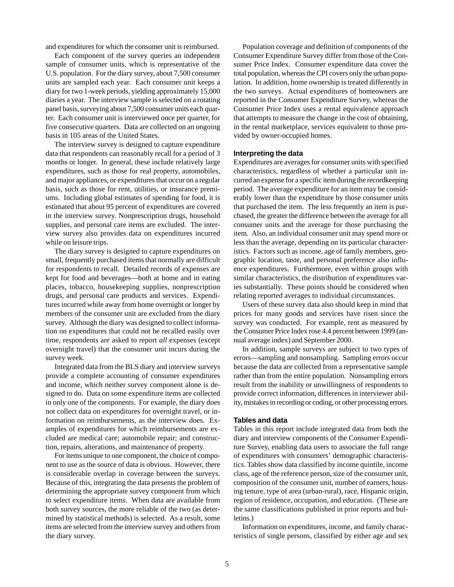and expenditures for which the consumer unit is reimbursed.

Each component of the survey queries an independent sample of consumer units, which is representative of the U.S. population. For the diary survey, about 7,500 consumer units are sampled each year. Each consumer unit keeps a diary for two 1-week periods, yielding approximately 15,000 diaries a year. The interview sample is selected on a rotating panel basis, surveying about 7,500 consumer units each quarter. Each consumer unit is interviewed once per quarter, for five consecutive quarters. Data are collected on an ongoing basis in 105 areas of the United States.

The interview survey is designed to capture expenditure data that respondents can reasonably recall for a period of 3 months or longer. In general, these include relatively large expenditures, such as those for real property, automobiles, and major appliances, or expenditures that occur on a regular basis, such as those for rent, utilities, or insurance premiums. Including global estimates of spending for food, it is estimated that about 95 percent of expenditures are covered in the interview survey. Nonprescription drugs, household supplies, and personal care items are excluded. The interview survey also provides data on expenditures incurred while on leisure trips.

The diary survey is designed to capture expenditures on small, frequently purchased items that normally are difficult for respondents to recall. Detailed records of expenses are kept for food and beverages—both at home and in eating places, tobacco, housekeeping supplies, nonprescription drugs, and personal care products and services. Expenditures incurred while away from home overnight or longer by members of the consumer unit are excluded from the diary survey. Although the diary was designed to collect information on expenditures that could not be recalled easily over time, respondents are asked to report *all* expenses (except overnight travel) that the consumer unit incurs during the survey week.

Integrated data from the BLS diary and interview surveys provide a complete accounting of consumer expenditures and income, which neither survey component alone is designed to do. Data on some expenditure items are collected in only one of the components. For example, the diary does not collect data on expenditures for overnight travel, or information on reimbursements, as the interview does. Examples of expenditures for which reimbursements are excluded are medical care; automobile repair; and construction, repairs, alterations, and maintenance of property.

For items unique to one component, the choice of component to use as the source of data is obvious. However, there is considerable overlap in coverage between the surveys. Because of this, integrating the data presents the problem of determining the appropriate survey component from which to select expenditure items. When data are available from both survey sources, the more reliable of the two (as determined by statistical methods) is selected. As a result, some items are selected from the interview survey and others from the diary survey.

Population coverage and definition of components of the Consumer Expenditure Survey differ from those of the Consumer Price Index. Consumer expenditure data cover the total population, whereas the CPI covers only the urban population. In addition, home ownership is treated differently in the two surveys. Actual expenditures of homeowners are reported in the Consumer Expenditure Survey, whereas the Consumer Price Index uses a rental equivalence approach that attempts to measure the change in the cost of obtaining, in the rental marketplace, services equivalent to those provided by owner-occupied homes.

#### **Interpreting the data**

Expenditures are averages for consumer units with specified characteristics, regardless of whether a particular unit incurred an expense for a specific item during the recordkeeping period. The average expenditure for an item may be considerably lower than the expenditure by those consumer units that purchased the item. The less frequently an item is purchased, the greater the difference between the average for all consumer units and the average for those purchasing the item. Also, an individual consumer unit may spend more or less than the average, depending on its particular characteristics. Factors such as income, age of family members, geographic location, taste, and personal preference also influence expenditures. Furthermore, even within groups with similar characteristics, the distribution of expenditures varies substantially. These points should be considered when relating reported averages to individual circumstances.

Users of these survey data also should keep in mind that prices for many goods and services have risen since the survey was conducted. For example, rent as measured by the Consumer Price Index rose 4.4 percent between 1999 (annual average index) and September 2000.

In addition, sample surveys are subject to two types of errors—sampling and nonsampling. Sampling errors occur because the data are collected from a representative sample rather than from the entire population. Nonsampling errors result from the inability or unwillingness of respondents to provide correct information, differences in interviewer ability, mistakes in recording or coding, or other processing errors.

#### **Tables and data**

Tables in this report include integrated data from both the diary and interview components of the Consumer Expenditure Survey, enabling data users to associate the full range of expenditures with consumers' demographic characteristics. Tables show data classified by income quintile, income class, age of the reference person, size of the consumer unit, composition of the consumer unit, number of earners, housing tenure, type of area (urban-rural), race, Hispanic origin, region of residence, occupation, and education. (These are the same classifications published in prior reports and bulletins.)

Information on expenditures, income, and family characteristics of single persons, classified by either age and sex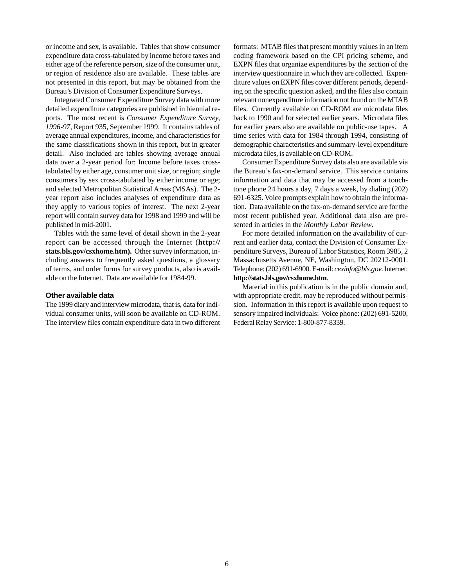or income and sex, is available. Tables that show consumer expenditure data cross-tabulated by income before taxes and either age of the reference person, size of the consumer unit, or region of residence also are available. These tables are not presented in this report, but may be obtained from the Bureau's Division of Consumer Expenditure Surveys.

Integrated Consumer Expenditure Survey data with more detailed expenditure categories are published in biennial reports. The most recent is *Consumer Expenditure Survey, 1996-97,* Report 935, September 1999. It contains tables of average annual expenditures, income, and characteristics for the same classifications shown in this report, but in greater detail. Also included are tables showing average annual data over a 2-year period for: Income before taxes crosstabulated by either age, consumer unit size, or region; single consumers by sex cross-tabulated by either income or age; and selected Metropolitan Statistical Areas (MSAs). The 2 year report also includes analyses of expenditure data as they apply to various topics of interest. The next 2-year report will contain survey data for 1998 and 1999 and will be published in mid-2001.

Tables with the same level of detail shown in the 2-year report can be accessed through the Internet (**http:// stats.bls.gov/csxhome.htm).** Other survey information, including answers to frequently asked questions, a glossary of terms, and order forms for survey products, also is available on the Internet. Data are available for 1984-99.

#### **Other available data**

The 1999 diary and interview microdata, that is, data for individual consumer units, will soon be available on CD-ROM. The interview files contain expenditure data in two different formats: MTAB files that present monthly values in an item coding framework based on the CPI pricing scheme, and EXPN files that organize expenditures by the section of the interview questionnaire in which they are collected. Expenditure values on EXPN files cover different periods, depending on the specific question asked, and the files also contain relevant nonexpenditure information not found on the MTAB files. Currently available on CD-ROM are microdata files back to 1990 and for selected earlier years. Microdata files for earlier years also are available on public-use tapes. A time series with data for 1984 through 1994, consisting of demographic characteristics and summary-level expenditure microdata files, is available on CD-ROM.

Consumer Expenditure Survey data also are available via the Bureau's fax-on-demand service. This service contains information and data that may be accessed from a touchtone phone 24 hours a day, 7 days a week, by dialing (202) 691-6325. Voice prompts explain how to obtain the information. Data available on the fax-on-demand service are for the most recent published year. Additional data also are presented in articles in the *Monthly Labor Review*.

For more detailed information on the availability of current and earlier data, contact the Division of Consumer Expenditure Surveys, Bureau of Labor Statistics, Room 3985, 2 Massachusetts Avenue, NE, Washington, DC 20212-0001. Telephone: (202) 691-6900. E-mail: *cexinfo@bls.gov*. Internet: **http://stats.bls.gov/csxhome.htm**.

Material in this publication is in the public domain and, with appropriate credit, may be reproduced without permission. Information in this report is available upon request to sensory impaired individuals: Voice phone: (202) 691-5200, Federal Relay Service: 1-800-877-8339.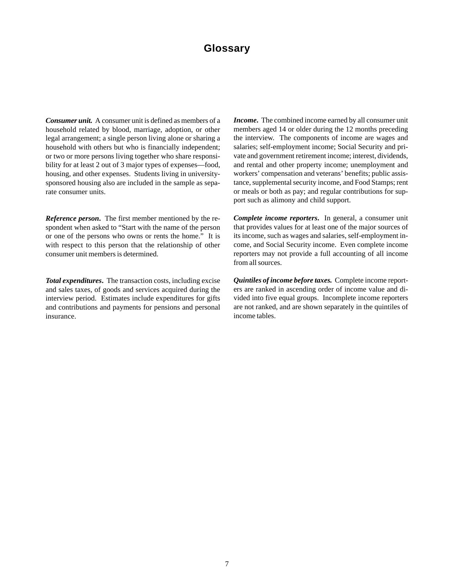# **Glossary**

*Consumer unit.* A consumer unit is defined as members of a household related by blood, marriage, adoption, or other legal arrangement; a single person living alone or sharing a household with others but who is financially independent; or two or more persons living together who share responsibility for at least 2 out of 3 major types of expenses—food, housing, and other expenses. Students living in universitysponsored housing also are included in the sample as separate consumer units.

*Reference person***.** The first member mentioned by the respondent when asked to "Start with the name of the person or one of the persons who owns or rents the home." It is with respect to this person that the relationship of other consumer unit members is determined.

*Total expenditures***.** The transaction costs, including excise and sales taxes, of goods and services acquired during the interview period. Estimates include expenditures for gifts and contributions and payments for pensions and personal insurance.

*Income***.** The combined income earned by all consumer unit members aged 14 or older during the 12 months preceding the interview. The components of income are wages and salaries; self-employment income; Social Security and private and government retirement income; interest, dividends, and rental and other property income; unemployment and workers' compensation and veterans' benefits; public assistance, supplemental security income, and Food Stamps; rent or meals or both as pay; and regular contributions for support such as alimony and child support.

*Complete income reporters***.** In general, a consumer unit that provides values for at least one of the major sources of its income, such as wages and salaries, self-employment income, and Social Security income. Even complete income reporters may not provide a full accounting of all income from all sources.

*Quintiles of income before taxes.* Complete income reporters are ranked in ascending order of income value and divided into five equal groups. Incomplete income reporters are not ranked, and are shown separately in the quintiles of income tables.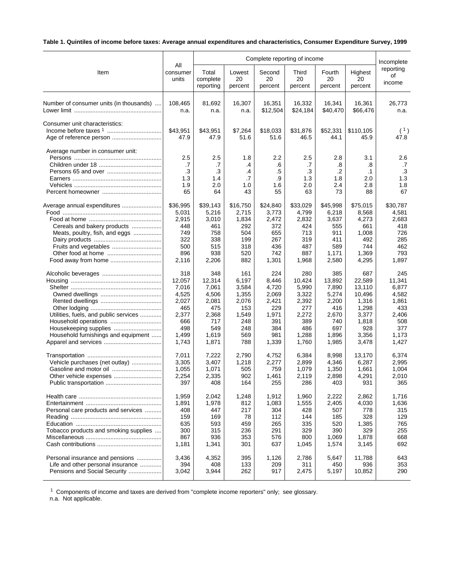# **Table 1. Quintiles of income before taxes: Average annual expenditures and characteristics, Consumer Expenditure Survey, 1999**

|                                         |                                     | Complete reporting of income        |                                         |                                    |                                     |                                             |                                            |                                         |  |
|-----------------------------------------|-------------------------------------|-------------------------------------|-----------------------------------------|------------------------------------|-------------------------------------|---------------------------------------------|--------------------------------------------|-----------------------------------------|--|
| Item                                    | All<br>consumer<br>units            | Total<br>complete<br>reporting      | Lowest<br>20<br>percent                 | Second<br>20<br>percent            | Third<br>20<br>percent              | Fourth<br>20<br>percent                     | Highest<br>20<br>percent                   | Incomplete<br>reporting<br>of<br>income |  |
| Number of consumer units (in thousands) | 108,465                             | 81,692                              | 16,307                                  | 16,351                             | 16,332                              | 16,341                                      | 16,361                                     | 26,773                                  |  |
|                                         | n.a.                                | n.a.                                | n.a.                                    | \$12,504                           | \$24,184                            | \$40,470                                    | \$66,476                                   | n.a.                                    |  |
| Consumer unit characteristics:          | \$43,951<br>47.9                    | \$43,951<br>47.9                    | \$7,264<br>51.6                         | \$18,033<br>51.6                   | \$31,876<br>46.5                    | \$52,331<br>44.1                            | \$110,105<br>45.9                          | (1)<br>47.8                             |  |
| Average number in consumer unit:        | 2.5<br>.7<br>.3<br>1.3<br>1.9<br>65 | 2.5<br>.7<br>.3<br>1.4<br>2.0<br>64 | 1.8<br>.4<br>$\cdot$<br>.7<br>1.0<br>43 | 2.2<br>.6<br>.5<br>.9<br>1.6<br>55 | 2.5<br>.7<br>.3<br>1.3<br>2.0<br>63 | 2.8<br>.8<br>$\cdot$ .2<br>1.8<br>2.4<br>73 | 3.1<br>.8<br>$\cdot$ 1<br>2.0<br>2.8<br>88 | 2.6<br>.7<br>.3<br>1.3<br>1.8<br>67     |  |
| Average annual expenditures             | \$36,995                            | \$39,143                            | \$16,750                                | \$24,840                           | \$33,029                            | \$45,998                                    | \$75,015                                   | \$30,787                                |  |
|                                         | 5,031                               | 5,216                               | 2,715                                   | 3,773                              | 4,799                               | 6,218                                       | 8,568                                      | 4,581                                   |  |
|                                         | 2,915                               | 3,010                               | 1,834                                   | 2,472                              | 2,832                               | 3,637                                       | 4,273                                      | 2,683                                   |  |
| Cereals and bakery products             | 448                                 | 461                                 | 292                                     | 372                                | 424                                 | 555                                         | 661                                        | 418                                     |  |
| Meats, poultry, fish, and eggs          | 749                                 | 758                                 | 504                                     | 655                                | 713                                 | 911                                         | 1,008                                      | 726                                     |  |
|                                         | 322                                 | 338                                 | 199                                     | 267                                | 319                                 | 411                                         | 492                                        | 285                                     |  |
|                                         | 500                                 | 515                                 | 318                                     | 436                                | 487                                 | 589                                         | 744                                        | 462                                     |  |
|                                         | 896                                 | 938                                 | 520                                     | 742                                | 887                                 | 1,171                                       | 1,369                                      | 793                                     |  |
|                                         | 2,116                               | 2,206                               | 882                                     | 1,301                              | 1,968                               | 2,580                                       | 4,295                                      | 1,897                                   |  |
|                                         | 318                                 | 348                                 | 161                                     | 224                                | 280                                 | 385                                         | 687                                        | 245                                     |  |
|                                         | 12,057                              | 12,314                              | 6,197                                   | 8,446                              | 10,424                              | 13,892                                      | 22,589                                     | 11,341                                  |  |
|                                         | 7,016                               | 7,061                               | 3,584                                   | 4,720                              | 5,990                               | 7,890                                       | 13,110                                     | 6,877                                   |  |
|                                         | 4,525                               | 4,506                               | 1,355                                   | 2,069                              | 3,322                               | 5,274                                       | 10,496                                     | 4,582                                   |  |
|                                         | 2,027                               | 2,081                               | 2,076                                   | 2,421                              | 2,392                               | 2,200                                       | 1,316                                      | 1,861                                   |  |
|                                         | 465                                 | 475                                 | 153                                     | 229                                | 277                                 | 416                                         | 1,298                                      | 433                                     |  |
| Utilities, fuels, and public services   | 2,377                               | 2,368                               | 1,549                                   | 1,971                              | 2,272                               | 2,670                                       | 3,377                                      | 2,406                                   |  |
|                                         | 666                                 | 717                                 | 248                                     | 391                                | 389                                 | 740                                         | 1,818                                      | 508                                     |  |
| Housekeeping supplies                   | 498                                 | 549                                 | 248                                     | 384                                | 486                                 | 697                                         | 928                                        | 377                                     |  |
| Household furnishings and equipment     | 1,499                               | 1,619                               | 569                                     | 981                                | 1,288                               | 1,896                                       | 3,356                                      | 1,173                                   |  |
|                                         | 1,743                               | 1,871                               | 788                                     | 1,339                              | 1,760                               | 1,985                                       | 3,478                                      | 1,427                                   |  |
|                                         | 7,011                               | 7,222                               | 2,790                                   | 4,752                              | 6,384                               | 8,998                                       | 13,170                                     | 6,374                                   |  |
| Vehicle purchases (net outlay)          | 3,305                               | 3,407                               | 1,218                                   | 2,277                              | 2,899                               | 4,346                                       | 6,287                                      | 2,995                                   |  |
|                                         | 1,055                               | 1,071                               | 505                                     | 759                                | 1,079                               | 1,350                                       | 1,661                                      | 1,004                                   |  |
|                                         | 2,254                               | 2,335                               | 902                                     | 1,461                              | 2,119                               | 2,898                                       | 4,291                                      | 2,010                                   |  |
|                                         | 397                                 | 408                                 | 164                                     | 255                                | 286                                 | 403                                         | 931                                        | 365                                     |  |
|                                         | 1,959                               | 2,042                               | 1,248                                   | 1,912                              | 1,960                               | 2,222                                       | 2,862                                      | 1,716                                   |  |
|                                         | 1,891                               | 1,978                               | 812                                     | 1,083                              | 1,555                               | 2,405                                       | 4,030                                      | 1,636                                   |  |
| Personal care products and services     | 408                                 | 447                                 | 217                                     | 304                                | 428                                 | 507                                         | 778                                        | 315                                     |  |
|                                         | 159                                 | 169                                 | 78                                      | 112                                | 144                                 | 185                                         | 328                                        | 129                                     |  |
|                                         | 635                                 | 593                                 | 459                                     | 265                                | 335                                 | 520                                         | 1,385                                      | 765                                     |  |
| Tobacco products and smoking supplies   | 300                                 | 315                                 | 236                                     | 291                                | 329                                 | 390                                         | 329                                        | 255                                     |  |
|                                         | 867                                 | 936                                 | 353                                     | 576                                | 800                                 | 1,069                                       | 1,878                                      | 668                                     |  |
|                                         | 1,181                               | 1,341                               | 301                                     | 637                                | 1,045                               | 1,574                                       | 3,145                                      | 692                                     |  |
| Personal insurance and pensions         | 3,436                               | 4,352                               | 395                                     | 1,126                              | 2,786                               | 5,647                                       | 11,788                                     | 643                                     |  |
| Life and other personal insurance       | 394                                 | 408                                 | 133                                     | 209                                | 311                                 | 450                                         | 936                                        | 353                                     |  |
| Pensions and Social Security            | 3,042                               | 3,944                               | 262                                     | 917                                | 2,475                               | 5,197                                       | 10,852                                     | 290                                     |  |

<sup>1</sup> Components of income and taxes are derived from "complete income reporters" only; see glossary.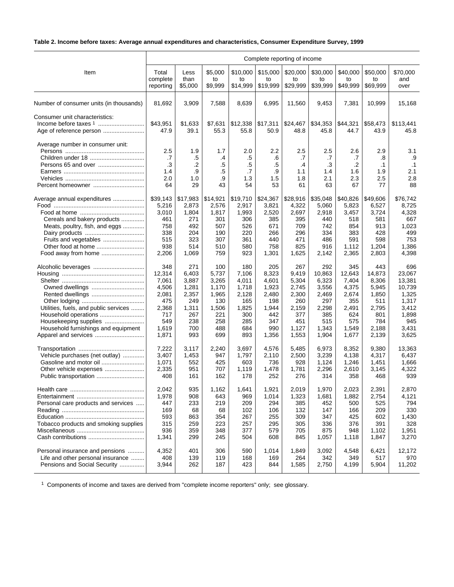# **Table 2. Income before taxes: Average annual expenditures and characteristics, Consumer Expenditure Survey, 1999**

|                                                         | Complete reporting of income        |                                        |                                       |                                        |                                        |                                     |                                     |                                     |                                            |                                            |  |
|---------------------------------------------------------|-------------------------------------|----------------------------------------|---------------------------------------|----------------------------------------|----------------------------------------|-------------------------------------|-------------------------------------|-------------------------------------|--------------------------------------------|--------------------------------------------|--|
| Item                                                    | Total                               | Less                                   | \$5,000                               | \$10,000                               | \$15,000                               | \$20,000                            | \$30,000                            | \$40,000                            | \$50,000                                   | \$70,000                                   |  |
|                                                         | complete                            | than                                   | to                                    | to                                     | to                                     | to                                  | to                                  | to                                  | to                                         | and                                        |  |
|                                                         | reporting                           | \$5,000                                | \$9,999                               | \$14,999                               | \$19,999                               | \$29,999                            | \$39,999                            | \$49,999                            | \$69,999                                   | over                                       |  |
| Number of consumer units (in thousands)                 | 81,692                              | 3,909                                  | 7,588                                 | 8,639                                  | 6,995                                  | 11,560                              | 9,453                               | 7,381                               | 10,999                                     | 15,168                                     |  |
| Consumer unit characteristics:                          | \$43,951<br>47.9                    | \$1,633<br>39.1                        | \$7,631<br>55.3                       | \$12,338<br>55.8                       | \$17,311<br>50.9                       | \$24,467<br>48.8                    | \$34,353<br>45.8                    | \$44,321<br>44.7                    | \$58,473<br>43.9                           | \$113,441<br>45.8                          |  |
| Average number in consumer unit:<br>Persons 65 and over | 2.5<br>.7<br>.3<br>1.4<br>2.0<br>64 | 1.9<br>$.5\,$<br>.2<br>.9<br>1.0<br>29 | 1.7<br>.4<br>$.5\,$<br>.5<br>.9<br>43 | 2.0<br>$.5\,$<br>.5<br>.7<br>1.3<br>54 | 2.2<br>.6<br>$.5\,$<br>.9<br>1.5<br>53 | 2.5<br>.7<br>.4<br>1.1<br>1.8<br>61 | 2.5<br>.7<br>.3<br>1.4<br>2.1<br>63 | 2.6<br>.7<br>.2<br>1.6<br>2.3<br>67 | 2.9<br>.8<br>$\cdot$ 1<br>1.9<br>2.5<br>77 | 3.1<br>.9<br>$\cdot$ 1<br>2.1<br>2.8<br>88 |  |
| Average annual expenditures                             | \$39,143                            | \$17,983                               | \$14,921                              | \$19,710                               | \$24,367                               | \$28,916                            | \$35,048                            | \$40,826                            | \$49,606                                   | \$76,742                                   |  |
|                                                         | 5,216                               | 2,873                                  | 2,576                                 | 2,917                                  | 3,821                                  | 4,322                               | 5,060                               | 5,823                               | 6,527                                      | 8,725                                      |  |
|                                                         | 3,010                               | 1,804                                  | 1,817                                 | 1,993                                  | 2,520                                  | 2,697                               | 2,918                               | 3,457                               | 3,724                                      | 4,328                                      |  |
| Cereals and bakery products                             | 461                                 | 271                                    | 301                                   | 306                                    | 385                                    | 395                                 | 440                                 | 518                                 | 581                                        | 667                                        |  |
| Meats, poultry, fish, and eggs                          | 758                                 | 492                                    | 507                                   | 526                                    | 671                                    | 709                                 | 742                                 | 854                                 | 913                                        | 1,023                                      |  |
|                                                         | 338                                 | 204                                    | 190                                   | 220                                    | 266                                    | 296                                 | 334                                 | 383                                 | 428                                        | 499                                        |  |
| Fruits and vegetables                                   | 515                                 | 323                                    | 307                                   | 361                                    | 440                                    | 471                                 | 486                                 | 591                                 | 598                                        | 753                                        |  |
| Other food at home                                      | 938                                 | 514                                    | 510                                   | 580                                    | 758                                    | 825                                 | 916                                 | 1,112                               | 1,204                                      | 1,386                                      |  |
| Food away from home                                     | 2,206                               | 1,069                                  | 759                                   | 923                                    | 1,301                                  | 1,625                               | 2,142                               | 2,365                               | 2,803                                      | 4,398                                      |  |
|                                                         | 348                                 | 271                                    | 100                                   | 180                                    | 205                                    | 267                                 | 292                                 | 345                                 | 443                                        | 696                                        |  |
|                                                         | 12,314                              | 6,403                                  | 5,737                                 | 7,106                                  | 8,323                                  | 9,419                               | 10,863                              | 12,643                              | 14,873                                     | 23,067                                     |  |
|                                                         | 7,061                               | 3,887                                  | 3,265                                 | 4,011                                  | 4,601                                  | 5,304                               | 6,323                               | 7,404                               | 8,306                                      | 13,381                                     |  |
| Owned dwellings                                         | 4,506                               | 1,281                                  | 1,170                                 | 1,718                                  | 1,923                                  | 2,745                               | 3,556                               | 4,375                               | 5,945                                      | 10,739                                     |  |
|                                                         | 2,081                               | 2,357                                  | 1,965                                 | 2,128                                  | 2,480                                  | 2,300                               | 2,469                               | 2,674                               | 1,850                                      | 1,325                                      |  |
|                                                         | 475                                 | 249                                    | 130                                   | 165                                    | 198                                    | 260                                 | 297                                 | 355                                 | 511                                        | 1,317                                      |  |
| Utilities, fuels, and public services                   | 2,368                               | 1,311                                  | 1,506                                 | 1,825                                  | 1,944                                  | 2,159                               | 2,298                               | 2,491                               | 2,795                                      | 3,412                                      |  |
| Household operations                                    | 717                                 | 267                                    | 221                                   | 300                                    | 442                                    | 377                                 | 385                                 | 624                                 | 801                                        | 1,898                                      |  |
| Housekeeping supplies                                   | 549                                 | 238                                    | 258                                   | 285                                    | 347                                    | 451                                 | 515                                 | 575                                 | 784                                        | 945                                        |  |
| Household furnishings and equipment                     | 1,619                               | 700                                    | 488                                   | 684                                    | 990                                    | 1,127                               | 1,343                               | 1,549                               | 2,188                                      | 3,431                                      |  |
| Apparel and services                                    | 1,871                               | 993                                    | 699                                   | 893                                    | 1,356                                  | 1,553                               | 1,904                               | 1,677                               | 2,139                                      | 3,625                                      |  |
|                                                         | 7,222                               | 3,117                                  | 2,240                                 | 3,697                                  | 4,576                                  | 5,485                               | 6,973                               | 8,352                               | 9,380                                      | 13,363                                     |  |
| Vehicle purchases (net outlay)                          | 3,407                               | 1,453                                  | 947                                   | 1,797                                  | 2,110                                  | 2,500                               | 3,239                               | 4,138                               | 4,317                                      | 6,437                                      |  |
|                                                         | 1,071                               | 552                                    | 425                                   | 603                                    | 736                                    | 928                                 | 1,124                               | 1,246                               | 1,451                                      | 1,666                                      |  |
|                                                         | 2,335                               | 951                                    | 707                                   | 1,119                                  | 1,478                                  | 1,781                               | 2,296                               | 2,610                               | 3,145                                      | 4,322                                      |  |
|                                                         | 408                                 | 161                                    | 162                                   | 178                                    | 252                                    | 276                                 | 314                                 | 358                                 | 468                                        | 939                                        |  |
|                                                         | 2,042                               | 935                                    | 1,162                                 | 1,641                                  | 1,921                                  | 2,019                               | 1,970                               | 2,023                               | 2,391                                      | 2,870                                      |  |
|                                                         | 1,978                               | 908                                    | 643                                   | 969                                    | 1,014                                  | 1,323                               | 1,681                               | 1,882                               | 2,754                                      | 4,121                                      |  |
| Personal care products and services                     | 447                                 | 233                                    | 219                                   | 209                                    | 294                                    | 385                                 | 452                                 | 500                                 | 525                                        | 794                                        |  |
|                                                         | 169                                 | 68                                     | 68                                    | 102                                    | 106                                    | 132                                 | 147                                 | 166                                 | 209                                        | 330                                        |  |
|                                                         | 593                                 | 863                                    | 354                                   | 267                                    | 255                                    | 309                                 | 347                                 | 425                                 | 602                                        | 1,430                                      |  |
| Tobacco products and smoking supplies                   | 315                                 | 259                                    | 223                                   | 257                                    | 295                                    | 305                                 | 336                                 | 376                                 | 391                                        | 328                                        |  |
|                                                         | 936                                 | 359                                    | 348                                   | 377                                    | 579                                    | 705                                 | 875                                 | 948                                 | 1,102                                      | 1,951                                      |  |
|                                                         | 1,341                               | 299                                    | 245                                   | 504                                    | 608                                    | 845                                 | 1,057                               | 1,118                               | 1,847                                      | 3,270                                      |  |
| Personal insurance and pensions                         | 4,352                               | 401                                    | 306                                   | 590                                    | 1,014                                  | 1,849                               | 3,092                               | 4,548                               | 6,421                                      | 12,172                                     |  |
| Life and other personal insurance                       | 408                                 | 139                                    | 119                                   | 168                                    | 169                                    | 264                                 | 342                                 | 349                                 | 517                                        | 970                                        |  |
| Pensions and Social Security                            | 3,944                               | 262                                    | 187                                   | 423                                    | 844                                    | 1,585                               | 2,750                               | 4,199                               | 5,904                                      | 11,202                                     |  |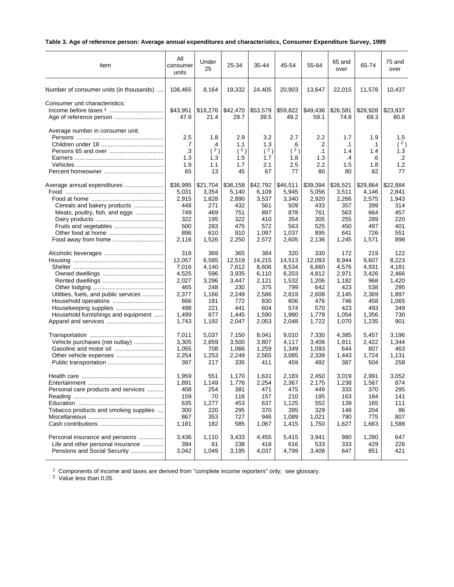# **Table 3. Age of reference person: Average annual expenditures and characteristics, Consumer Expenditure Survey, 1999**

| Item                                    | All<br>consumer<br>units | Under<br>25      | 25-34            | 35-44            | 45-54            | 55-64            | 65 and<br>over   | 65-74            | 75 and<br>over   |
|-----------------------------------------|--------------------------|------------------|------------------|------------------|------------------|------------------|------------------|------------------|------------------|
| Number of consumer units (in thousands) | 108,465                  | 8,164            | 19,332           | 24,405           | 20,903           | 13,647           | 22,015           | 11,578           | 10,437           |
| Consumer unit characteristics:          | \$43,951<br>47.9         | \$18,276<br>21.4 | \$42,470<br>29.7 | \$53,579<br>39.5 | \$59,822<br>49.2 | \$49,436<br>59.1 | \$26,581<br>74.8 | \$28,928<br>69.3 | \$23,937<br>80.8 |
| Average number in consumer unit:        | 2.5<br>.7                | 1.8<br>$\cdot$   | 2.9<br>1.1       | 3.2<br>1.3       | 2.7<br>.6        | 2.2<br>.2        | 1.7<br>$\cdot$ 1 | 1.9<br>.1        | 1.5<br>(2)       |
|                                         | .3                       | (2)              | (2)              | (2)              | (2)              | $\cdot$ 1        | 1.4              | 1.4              | 1.3              |
|                                         | 1.3                      | 1.3              | 1.5              | 1.7              | 1.8              | 1.3              | .4               | .6               | $\cdot$ .2       |
|                                         | 1.9                      | 1.1              | 1.7              | 2.1              | 2.5              | 2.2              | 1.5              | 1.8              | 1.2              |
|                                         | 65                       | 13               | 45               | 67               | 77               | 80               | 80               | 82               | 77               |
| Average annual expenditures             | \$36,995                 | \$21,704         | \$36,158         | \$42,792         | \$46,511         | \$39,394         | \$26,521         | \$29,864         | \$22,884         |
|                                         | 5,031                    | 3,354            | 5,140            | 6,109            | 5,945            | 5,056            | 3,511            | 4,146            | 2,841            |
|                                         | 2,915                    | 1,828            | 2,890            | 3,537            | 3,340            | 2,920            | 2,266            | 2,575            | 1,943            |
| Cereals and bakery products             | 448                      | 271              | 432              | 561              | 509              | 433              | 357              | 399              | 314              |
| Meats, poultry, fish, and eggs          | 749                      | 469              | 751              | 897              | 878              | 761              | 563              | 664              | 457              |
|                                         | 322                      | 195              | 322              | 410              | 354              | 305              | 255              | 289              | 220              |
|                                         | 500                      | 283              | 475              | 572              | 563              | 525              | 450              | 497              | 401              |
|                                         | 896                      | 610              | 910              | 1,097            | 1,037            | 895              | 641              | 726              | 551              |
|                                         | 2,116                    | 1,526            | 2,250            | 2,572            | 2,605            | 2,136            | 1,245            | 1,571            | 898              |
|                                         | 318                      | 369              | 365              | 384              | 320              | 330              | 172              | 219              | 122              |
|                                         | 12.057                   | 6,585            | 12,519           | 14,215           | 14,513           | 12,093           | 8,944            | 9,607            | 8,223            |
|                                         | 7,016                    | 4,140            | 7,612            | 8,606            | 8,534            | 6,660            | 4,576            | 4,931            | 4,181            |
|                                         | 4,525                    | 596              | 3,935            | 6,110            | 6,203            | 4,812            | 2,971            | 3,426            | 2,466            |
|                                         | 2,027                    | 3,296            | 3,447            | 2,121            | 1,532            | 1,206            | 1,182            | 968              | 1,420            |
|                                         | 465                      | 248              | 230              | 375              | 799              | 642              | 423              | 538              | 295              |
| Utilities, fuels, and public services   | 2,377                    | 1,166            | 2,249            | 2,586            | 2,819            | 2,608            | 2,145            | 2,369            | 1,897            |
| Household operations                    | 666                      | 181              | 772              | 830              | 606              | 476              | 746              | 458              | 1,065            |
|                                         | 498                      | 221              | 441              | 604              | 574              | 570              | 423              | 493              | 349              |
| Household furnishings and equipment     | 1,499                    | 877              | 1,445            | 1,590            | 1,980            | 1,779            | 1,054            | 1,356            | 730              |
|                                         | 1,743                    | 1,192            | 2,047            | 2,053            | 2,048            | 1,722            | 1,070            | 1,235            | 901              |
|                                         | 7,011                    | 5,037            | 7,150            | 8,041            | 9,010            | 7,330            | 4,385            | 5,457            | 3,196            |
| Vehicle purchases (net outlay)          | 3,305                    | 2,859            | 3,500            | 3,807            | 4,117            | 3,406            | 1,911            | 2,422            | 1,344            |
| Gasoline and motor oil                  | 1,055                    | 708              | 1,066            | 1,259            | 1,349            | 1,093            | 644              | 807              | 463              |
|                                         | 2,254                    | 1,253            | 2,249            | 2,565            | 3,085            | 2,339            | 1,443            | 1,724            | 1,131            |
|                                         | 397                      | 217              | 335              | 411              | 459              | 492              | 387              | 504              | 258              |
|                                         | 1,959                    | 551              | 1,170            | 1,631            | 2,183            | 2,450            | 3,019            | 2,991            | 3,052            |
| Entertainment                           | 1,891                    | 1,149            | 1,776            | 2,254            | 2,367            | 2,175            | 1.238            | 1,567            | 874              |
| Personal care products and services     | 408                      | 254              | 381              | 471              | 475              | 449              | 333              | 370              | 295              |
|                                         | 159                      | 70               | 116              | 157              | 210              | 195              | 163              | 184              | 141              |
|                                         | 635                      | 1,277            | 453              | 637              | 1,125            | 552              | 139              | 165              | 111              |
| Tobacco products and smoking supplies   | 300                      | 220              | 295              | 370              | 395              | 329              | 148              | 204              | 86               |
|                                         | 867                      | 353              | 727              | 946              | 1,089            | 1,021            | 790              | 775              | 807              |
|                                         | 1,181                    | 182              | 585              | 1,067            | 1,415            | 1,750            | 1,627            | 1,663            | 1,588            |
| Personal insurance and pensions         | 3,436                    | 1,110            | 3,433            | 4,455            | 5,415            | 3,941            | 980              | 1,280            | 647              |
| Life and other personal insurance       | 394                      | 61               | 238              | 418              | 616              | 533              | 333              | 429              | 226              |
| Pensions and Social Security            | 3,042                    | 1,049            | 3,195            | 4,037            | 4,799            | 3,408            | 647              | 851              | 421              |

 $1$  Components of income and taxes are derived from "complete income reporters" only; see glossary.

<sup>2</sup> Value less than 0.05.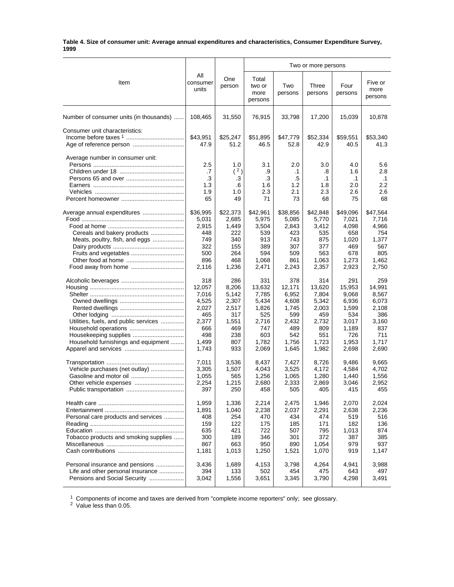#### **Table 4. Size of consumer unit: Average annual expenditures and characteristics, Consumer Expenditure Survey, 1999**

|                                         |                                     |                                     |                                     | Two or more persons                        |                                            |                                             |                                                 |  |  |
|-----------------------------------------|-------------------------------------|-------------------------------------|-------------------------------------|--------------------------------------------|--------------------------------------------|---------------------------------------------|-------------------------------------------------|--|--|
| Item                                    | All<br>consumer<br>units            | One<br>person                       | Total<br>two or<br>more<br>persons  | Two<br>persons                             | Three<br>persons                           | Four<br>persons                             | Five or<br>more<br>persons                      |  |  |
| Number of consumer units (in thousands) | 108,465                             | 31,550                              | 76,915                              | 33,798                                     | 17,200                                     | 15,039                                      | 10,878                                          |  |  |
| Consumer unit characteristics:          | \$43,951<br>47.9                    | \$25,247<br>51.2                    | \$51,895<br>46.5                    | \$47,779<br>52.8                           | \$52,334<br>42.9                           | \$59,551<br>40.5                            | \$53,340<br>41.3                                |  |  |
| Average number in consumer unit:        | 2.5<br>.7<br>.3<br>1.3<br>1.9<br>65 | 1.0<br>(2)<br>.3<br>.6<br>1.0<br>49 | 3.1<br>.9<br>.3<br>1.6<br>2.3<br>71 | 2.0<br>$\cdot$ 1<br>.5<br>1.2<br>2.1<br>73 | 3.0<br>.8<br>$\cdot$ 1<br>1.8<br>2.3<br>68 | 4.0<br>1.6<br>$\cdot$ 1<br>2.0<br>2.6<br>75 | 5.6<br>2.8<br>$\cdot$ 1<br>$2.2\,$<br>2.6<br>68 |  |  |
|                                         | \$36,995                            | \$22,373                            | \$42,961                            | \$38,856                                   | \$42,848                                   | \$49,096                                    | \$47,564                                        |  |  |
|                                         | 5,031                               | 2,685                               | 5,975                               | 5,085                                      | 5,770                                      | 7,021                                       | 7,716                                           |  |  |
|                                         | 2,915                               | 1,449                               | 3,504                               | 2,843                                      | 3,412                                      | 4,098                                       | 4,966                                           |  |  |
| Cereals and bakery products             | 448                                 | 222                                 | 539                                 | 423                                        | 535                                        | 658                                         | 754                                             |  |  |
| Meats, poultry, fish, and eggs          | 749                                 | 340                                 | 913                                 | 743                                        | 875                                        | 1,020                                       | 1,377                                           |  |  |
|                                         | 322                                 | 155                                 | 389                                 | 307                                        | 377                                        | 469                                         | 567                                             |  |  |
|                                         | 500                                 | 264                                 | 594                                 | 509                                        | 563                                        | 678                                         | 805                                             |  |  |
|                                         | 896                                 | 468                                 | 1,068                               | 861                                        | 1,063                                      | 1,273                                       | 1,462                                           |  |  |
|                                         | 2,116                               | 1,236                               | 2,471                               | 2,243                                      | 2,357                                      | 2,923                                       | 2,750                                           |  |  |
|                                         | 318                                 | 286                                 | 331                                 | 378                                        | 314                                        | 291                                         | 259                                             |  |  |
|                                         | 12,057                              | 8,206                               | 13,632                              | 12,171                                     | 13,620                                     | 15,953                                      | 14,991                                          |  |  |
|                                         | 7,016                               | 5,142                               | 7,785                               | 6,952                                      | 7,804                                      | 9,068                                       | 8,567                                           |  |  |
|                                         | 4,525                               | 2,307                               | 5,434                               | 4,608                                      | 5,342                                      | 6,936                                       | 6,073                                           |  |  |
|                                         | 2,027                               | 2,517                               | 1,826                               | 1,745                                      | 2,003                                      | 1,599                                       | 2,108                                           |  |  |
|                                         | 465                                 | 317                                 | 525                                 | 599                                        | 459                                        | 534                                         | 386                                             |  |  |
| Utilities, fuels, and public services   | 2,377                               | 1,551                               | 2,716                               | 2,432                                      | 2,732                                      | 3,017                                       | 3,160                                           |  |  |
|                                         | 666                                 | 469                                 | 747                                 | 489                                        | 809                                        | 1,189                                       | 837                                             |  |  |
|                                         | 498                                 | 238                                 | 603                                 | 542                                        | 551                                        | 726                                         | 711                                             |  |  |
| Household furnishings and equipment     | 1,499                               | 807                                 | 1,782                               | 1,756                                      | 1,723                                      | 1,953                                       | 1,717                                           |  |  |
|                                         | 1,743                               | 933                                 | 2,069                               | 1,645                                      | 1,982                                      | 2,698                                       | 2,690                                           |  |  |
|                                         | 7,011                               | 3,536                               | 8,437                               | 7,427                                      | 8,726                                      | 9,486                                       | 9,665                                           |  |  |
| Vehicle purchases (net outlay)          | 3,305                               | 1,507                               | 4,043                               | 3,525                                      | 4,172                                      | 4,584                                       | 4,702                                           |  |  |
|                                         | 1,055                               | 565                                 | 1,256                               | 1,065                                      | 1,280                                      | 1,440                                       | 1,556                                           |  |  |
| Other vehicle expenses                  | 2,254                               | 1,215                               | 2,680                               | 2,333                                      | 2,869                                      | 3,046                                       | 2,952                                           |  |  |
|                                         | 397                                 | 250                                 | 458                                 | 505                                        | 405                                        | 415                                         | 455                                             |  |  |
|                                         | 1,959                               | 1,336                               | 2,214                               | 2,475                                      | 1,946                                      | 2,070                                       | 2,024                                           |  |  |
|                                         | 1,891                               | 1,040                               | 2,238                               | 2,037                                      | 2,291                                      | 2,638                                       | 2,236                                           |  |  |
| Personal care products and services     | 408                                 | 254                                 | 470                                 | 434                                        | 474                                        | 519                                         | 516                                             |  |  |
|                                         | 159                                 | 122                                 | 175                                 | 185                                        | 171                                        | 182                                         | 136                                             |  |  |
|                                         | 635                                 | 421                                 | 722                                 | 507                                        | 795                                        | 1,013                                       | 874                                             |  |  |
| Tobacco products and smoking supplies   | 300                                 | 189                                 | 346                                 | 301                                        | 372                                        | 387                                         | 385                                             |  |  |
|                                         | 867                                 | 663                                 | 950                                 | 890                                        | 1,054                                      | 979                                         | 937                                             |  |  |
|                                         | 1,181                               | 1,013                               | 1,250                               | 1,521                                      | 1,070                                      | 919                                         | 1,147                                           |  |  |
| Personal insurance and pensions         | 3,436                               | 1,689                               | 4,153                               | 3,798                                      | 4,264                                      | 4,941                                       | 3,988                                           |  |  |
| Life and other personal insurance       | 394                                 | 133                                 | 502                                 | 454                                        | 475                                        | 643                                         | 497                                             |  |  |
| Pensions and Social Security            | 3,042                               | 1,556                               | 3,651                               | 3,345                                      | 3,790                                      | 4,298                                       | 3,491                                           |  |  |

 $1$  Components of income and taxes are derived from "complete income reporters" only; see glossary.

<sup>2</sup> Value less than 0.05.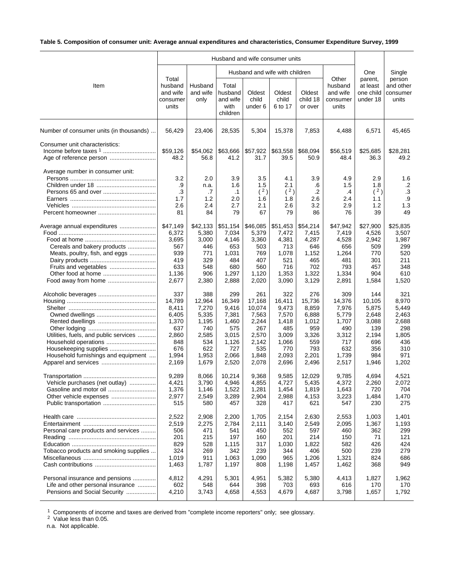# **Table 5. Composition of consumer unit: Average annual expenditures and characteristics, Consumer Expenditure Survey, 1999**

|                                                                                                      |                                                                                          |                                                                                          |                                                                                            |                                                                                             | Husband and wife with children                                                             |                                                                                          |                                                                                          | One                                                                                    | Single                                                                                |
|------------------------------------------------------------------------------------------------------|------------------------------------------------------------------------------------------|------------------------------------------------------------------------------------------|--------------------------------------------------------------------------------------------|---------------------------------------------------------------------------------------------|--------------------------------------------------------------------------------------------|------------------------------------------------------------------------------------------|------------------------------------------------------------------------------------------|----------------------------------------------------------------------------------------|---------------------------------------------------------------------------------------|
| Item                                                                                                 | Total<br>husband<br>and wife<br>consumer<br>units                                        | Husband<br>and wife<br>only                                                              | Total<br>husband<br>and wife<br>with<br>children                                           | Oldest<br>child<br>under 6                                                                  | Oldest<br>child<br>6 to 17                                                                 | Oldest<br>child 18<br>or over                                                            | Other<br>husband<br>and wife<br>consumer<br>units                                        | parent,<br>at least<br>one child<br>under 18                                           | person<br>and other<br>consumer<br>units                                              |
| Number of consumer units (in thousands)                                                              | 56,429                                                                                   | 23,406                                                                                   | 28,535                                                                                     | 5,304                                                                                       | 15,378                                                                                     | 7,853                                                                                    | 4,488                                                                                    | 6,571                                                                                  | 45,465                                                                                |
| Consumer unit characteristics:                                                                       | \$59,126<br>48.2                                                                         | \$54,062<br>56.8                                                                         | \$63,666<br>41.2                                                                           | \$57,922<br>31.7                                                                            | \$63,558<br>39.5                                                                           | \$68,094<br>50.9                                                                         | \$56,519<br>48.4                                                                         | \$25,685<br>36.3                                                                       | \$28,281<br>49.2                                                                      |
| Average number in consumer unit:                                                                     | 3.2<br>.9<br>.3<br>1.7<br>2.6<br>81                                                      | 2.0<br>n.a.<br>.7<br>1.2<br>2.4<br>84                                                    | 3.9<br>1.6<br>$\cdot$ 1<br>2.0<br>2.7<br>79                                                | 3.5<br>1.5<br>(2)<br>1.6<br>2.1<br>67                                                       | 4.1<br>2.1<br>(2)<br>1.8<br>2.6<br>79                                                      | 3.9<br>.6<br>$\cdot$<br>2.6<br>3.2<br>86                                                 | 4.9<br>1.5<br>.4<br>2.4<br>2.9<br>76                                                     | 2.9<br>1.8<br>(2)<br>1.1<br>1.2<br>39                                                  | 1.6<br>$.2\phantom{0}$<br>.3<br>.9<br>1.3<br>49                                       |
| Average annual expenditures<br>Cereals and bakery products<br>Meats, poultry, fish, and eggs         | \$47,149<br>6,372<br>3,695<br>567<br>939<br>419<br>633<br>1,136<br>2,677                 | \$42,133<br>5,380<br>3,000<br>446<br>771<br>329<br>548<br>906<br>2,380                   | \$51,154<br>7,034<br>4,146<br>653<br>1,031<br>484<br>680<br>1,297<br>2,888                 | \$46,085<br>5,379<br>3,360<br>503<br>769<br>407<br>560<br>1,120<br>2,020                    | \$51,453<br>7,472<br>4,381<br>713<br>1,078<br>521<br>716<br>1,353<br>3,090                 | \$54,214<br>7,415<br>4,287<br>646<br>1,152<br>465<br>702<br>1,322<br>3,129               | \$47,942<br>7,419<br>4,528<br>656<br>1,264<br>481<br>793<br>1,334<br>2,891               | \$27,900<br>4,526<br>2,942<br>509<br>770<br>301<br>457<br>904<br>1,584                 | \$25,835<br>3,507<br>1,987<br>299<br>520<br>211<br>348<br>610<br>1,520                |
| Utilities, fuels, and public services<br>Household furnishings and equipment                         | 337<br>14,789<br>8,411<br>6,405<br>1,370<br>637<br>2,860<br>848<br>676<br>1,994<br>2,169 | 388<br>12,964<br>7,270<br>5,335<br>1,195<br>740<br>2,585<br>534<br>622<br>1,953<br>1,679 | 299<br>16,349<br>9,416<br>7,381<br>1,460<br>575<br>3,015<br>1,126<br>727<br>2,066<br>2,520 | 261<br>17,168<br>10,074<br>7,563<br>2,244<br>267<br>2,570<br>2,142<br>535<br>1,848<br>2,078 | 322<br>16,411<br>9,473<br>7,570<br>1,418<br>485<br>3,009<br>1,066<br>770<br>2,093<br>2,696 | 276<br>15,736<br>8,859<br>6,888<br>1,012<br>959<br>3,326<br>559<br>793<br>2,201<br>2,496 | 309<br>14,376<br>7,976<br>5,779<br>1,707<br>490<br>3,312<br>717<br>632<br>1,739<br>2,517 | 144<br>10,105<br>5,875<br>2,648<br>3,088<br>139<br>2,194<br>696<br>356<br>984<br>1,946 | 321<br>8,970<br>5,449<br>2,463<br>2,688<br>298<br>1,805<br>436<br>310<br>971<br>1,202 |
| Vehicle purchases (net outlay)<br>Gasoline and motor oil                                             | 9,289<br>4,421<br>1,376<br>2,977<br>515                                                  | 8,066<br>3,790<br>1,146<br>2,549<br>580                                                  | 10,214<br>4,946<br>1,522<br>3,289<br>457                                                   | 9,368<br>4,855<br>1,281<br>2,904<br>328                                                     | 9,585<br>4,727<br>1,454<br>2,988<br>417                                                    | 12,029<br>5,435<br>1,819<br>4,153<br>621                                                 | 9,785<br>4,372<br>1,643<br>3,223<br>547                                                  | 4,694<br>2,260<br>720<br>1,484<br>230                                                  | 4,521<br>2,072<br>704<br>1,470<br>275                                                 |
| Personal care products and services<br>Tobacco products and smoking supplies                         | 2,522<br>2,519<br>506<br>201<br>829<br>324<br>1,019<br>1,463                             | 2,908<br>2,275<br>471<br>215<br>528<br>269<br>911<br>1,787                               | 2,200<br>2,784<br>541<br>197<br>1,115<br>342<br>1,063<br>1,197                             | 1,705<br>2,111<br>450<br>160<br>317<br>239<br>1,090<br>808                                  | 2,154<br>3,140<br>552<br>201<br>1,030<br>344<br>965<br>1,198                               | 2,630<br>2,549<br>597<br>214<br>1,822<br>406<br>1,206<br>1,457                           | 2,553<br>2,095<br>460<br>150<br>582<br>500<br>1,321<br>1,462                             | 1,003<br>1,367<br>362<br>71<br>426<br>239<br>824<br>368                                | 1,401<br>1,193<br>299<br>121<br>424<br>279<br>686<br>949                              |
| Personal insurance and pensions<br>Life and other personal insurance<br>Pensions and Social Security | 4,812<br>602<br>4,210                                                                    | 4,291<br>548<br>3,743                                                                    | 5,301<br>644<br>4,658                                                                      | 4,951<br>398<br>4,553                                                                       | 5,382<br>703<br>4,679                                                                      | 5,380<br>693<br>4,687                                                                    | 4,413<br>616<br>3,798                                                                    | 1,827<br>170<br>1,657                                                                  | 1,962<br>170<br>1,792                                                                 |

 $1$  Components of income and taxes are derived from "complete income reporters" only; see glossary.

<sup>2</sup> Value less than 0.05.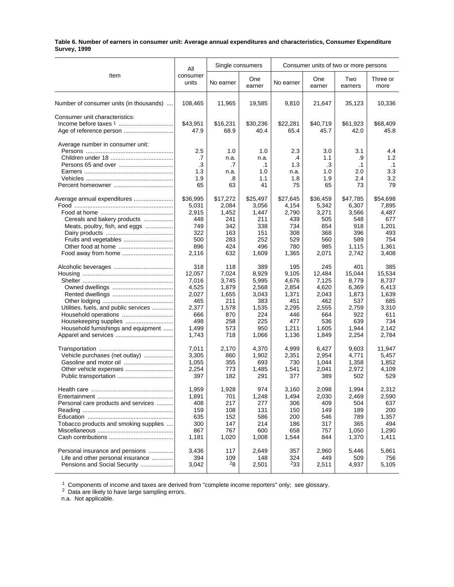#### **Table 6. Number of earners in consumer unit: Average annual expenditures and characteristics, Consumer Expenditure Survey, 1999**

|                                         |                 | Single consumers |               |           |               | Consumer units of two or more persons |                  |
|-----------------------------------------|-----------------|------------------|---------------|-----------|---------------|---------------------------------------|------------------|
| Item                                    | All<br>consumer |                  |               |           |               |                                       |                  |
|                                         | units           | No earner        | One<br>earner | No earner | One<br>earner | Two<br>earners                        | Three or<br>more |
| Number of consumer units (in thousands) | 108,465         | 11,965           | 19,585        | 9,810     | 21,647        | 35,123                                | 10,336           |
| Consumer unit characteristics:          |                 |                  |               |           |               |                                       |                  |
|                                         | \$43,951        | \$16,231         | \$30,236      | \$22,281  | \$40,719      | \$61,923                              | \$68,409         |
|                                         | 47.9            | 68.9             | 40.4          | 65.4      | 45.7          | 42.0                                  | 45.8             |
| Average number in consumer unit:        |                 |                  |               |           |               |                                       |                  |
|                                         | 2.5             | 1.0              | 1.0           | 2.3       | 3.0           | 3.1                                   | 4.4              |
|                                         | .7              | n.a.             | n.a.          | .4        | 1.1           | .9                                    | 1.2              |
| Persons 65 and over                     | .3              | .7               | $\cdot$ 1     | 1.3       | .3            | .1                                    | $\cdot$ 1        |
|                                         | 1.3             | n.a.             | 1.0           | n.a.      | 1.0           | 2.0                                   | 3.3              |
|                                         | 1.9             | .8               | 1.1           | 1.8       | 1.9           | 2.4                                   | 3.2              |
|                                         | 65              | 63               | 41            | 75        | 65            | 73                                    | 79               |
|                                         |                 |                  |               |           |               |                                       |                  |
| Average annual expenditures             | \$36,995        | \$17,272         | \$25,497      | \$27,645  | \$36,459      | \$47,785                              | \$54,698         |
|                                         | 5,031           | 2,084            | 3,056         | 4,154     | 5,342         | 6,307                                 | 7,895            |
|                                         | 2,915           | 1,452            | 1,447         | 2,790     | 3,271         | 3,566                                 | 4,487            |
| Cereals and bakery products             | 448             | 241              | 211           | 439       | 505           | 548                                   | 677              |
| Meats, poultry, fish, and eggs          | 749             | 342              | 338           | 734       | 854           | 918                                   | 1,201            |
|                                         | 322             | 163              | 151           | 308       | 368           | 396                                   | 493              |
|                                         | 500             | 283              | 252           | 529       | 560           | 589                                   | 754              |
|                                         | 896             | 424              | 496           | 780       | 985           | 1,115                                 | 1.361            |
| Food away from home                     | 2.116           | 632              | 1,609         | 1.365     | 2,071         | 2.742                                 | 3,408            |
|                                         | 318             | 118              | 389           | 195       | 245           | 401                                   | 385              |
|                                         | 12,057          | 7,024            | 8,929         | 9,105     | 12,484        | 15,044                                | 15,534           |
|                                         |                 |                  |               |           |               | 8,779                                 | 8,737            |
|                                         | 7,016           | 3,745            | 5,995         | 4,676     | 7,125         |                                       |                  |
|                                         | 4,525           | 1,879            | 2,568         | 2,854     | 4,620         | 6,369                                 | 6,413            |
|                                         | 2,027           | 1,655            | 3,043         | 1,371     | 2,043         | 1,873                                 | 1,639            |
|                                         | 465             | 211              | 383           | 451       | 462           | 537                                   | 685              |
| Utilities, fuels, and public services   | 2,377           | 1,578            | 1,535         | 2,295     | 2,555         | 2,759                                 | 3,310            |
|                                         | 666             | 870              | 224           | 446       | 664           | 922                                   | 611              |
|                                         | 498             | 258              | 225           | 477       | 536           | 639                                   | 734              |
| Household furnishings and equipment     | 1,499           | 573              | 950           | 1,211     | 1,605         | 1,944                                 | 2,142            |
|                                         | 1,743           | 718              | 1,066         | 1,136     | 1,849         | 2,254                                 | 2,784            |
|                                         | 7,011           | 2,170            | 4.370         | 4,999     | 6,427         | 9,603                                 | 11,947           |
| Vehicle purchases (net outlay)          | 3.305           | 860              | 1,902         | 2,351     | 2,954         | 4,771                                 | 5,457            |
|                                         | 1,055           | 355              | 693           | 730       | 1,044         | 1,358                                 | 1,852            |
|                                         | 2,254           | 773              | 1,485         | 1,541     | 2.041         | 2,972                                 | 4,109            |
|                                         | 397             | 182              | 291           | 377       | 389           | 502                                   | 529              |
|                                         | 1,959           | 1,928            | 974           | 3,160     | 2,098         | 1,994                                 | 2,312            |
|                                         | 1,891           | 701              | 1,248         | 1,494     | 2,030         | 2,469                                 | 2,590            |
|                                         |                 |                  |               |           |               |                                       |                  |
| Personal care products and services     | 408             | 217              | 277           | 306       | 409           | 504                                   | 637              |
|                                         | 159             | 108              | 131           | 150       | 149           | 189                                   | 200              |
|                                         | 635             | 152              | 586           | 200       | 546           | 789                                   | 1,357            |
| Tobacco products and smoking supplies   | 300             | 147              | 214           | 186       | 317           | 365                                   | 494              |
|                                         | 867             | 767              | 600           | 658       | 757           | 1,050                                 | 1,290            |
|                                         | 1,181           | 1,020            | 1,008         | 1,544     | 844           | 1,370                                 | 1,411            |
| Personal insurance and pensions         | 3,436           | 117              | 2,649         | 357       | 2,960         | 5,446                                 | 5,861            |
| Life and other personal insurance       | 394             | 109              | 148           | 324       | 449           | 509                                   | 756              |
| Pensions and Social Security            | 3,042           | 28               | 2,501         | 233       | 2,511         | 4,937                                 | 5,105            |
|                                         |                 |                  |               |           |               |                                       |                  |

 $1$  Components of income and taxes are derived from "complete income reporters" only; see glossary.

 $2$  Data are likely to have large sampling errors.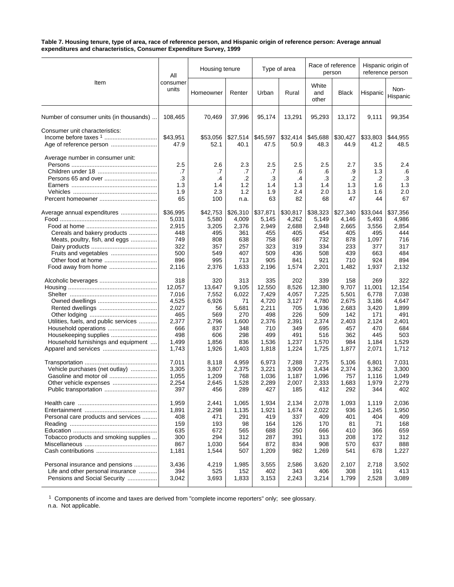#### **Table 7. Housing tenure, type of area, race of reference person, and Hispanic origin of reference person: Average annual expenditures and characteristics, Consumer Expenditure Survey, 1999**

|                                                           | All                                 | Housing tenure                       |                                       | Type of area                        |                                     |                                     | Race of reference<br>person         | Hispanic origin of<br>reference person |                                            |
|-----------------------------------------------------------|-------------------------------------|--------------------------------------|---------------------------------------|-------------------------------------|-------------------------------------|-------------------------------------|-------------------------------------|----------------------------------------|--------------------------------------------|
| Item                                                      | consumer<br>units                   | Homeowner                            | Renter                                | Urban                               | Rural                               | White<br>and<br>other               | <b>Black</b>                        | Hispanic                               | Non-<br>Hispanic                           |
| Number of consumer units (in thousands)                   | 108,465                             | 70,469                               | 37,996                                | 95,174                              | 13,291                              | 95,293                              | 13,172                              | 9,111                                  | 99,354                                     |
| Consumer unit characteristics:<br>Age of reference person | \$43,951<br>47.9                    | \$53,056<br>52.1                     | \$27,514<br>40.1                      | \$45,597<br>47.5                    | \$32,414<br>50.9                    | \$45,688<br>48.3                    | \$30,427<br>44.9                    | \$33,803<br>41.2                       | \$44,955<br>48.5                           |
| Average number in consumer unit:                          | 2.5<br>.7<br>.3<br>1.3<br>1.9<br>65 | 2.6<br>.7<br>.4<br>1.4<br>2.3<br>100 | 2.3<br>.7<br>.2<br>1.2<br>1.2<br>n.a. | 2.5<br>.7<br>.3<br>1.4<br>1.9<br>63 | 2.5<br>.6<br>.4<br>1.3<br>2.4<br>82 | 2.5<br>.6<br>.3<br>1.4<br>2.0<br>68 | 2.7<br>.9<br>.2<br>1.3<br>1.3<br>47 | 3.5<br>1.3<br>.2<br>1.6<br>1.6<br>44   | 2.4<br>.6<br>$\cdot$ 3<br>1.3<br>2.0<br>67 |
| Average annual expenditures                               | \$36,995                            | \$42,753                             | \$26,310                              | \$37,871                            | \$30,817                            | \$38,323                            | \$27,340                            | \$33,044                               | \$37,356                                   |
|                                                           | 5,031                               | 5,580                                | 4,009                                 | 5,145                               | 4,262                               | 5,149                               | 4,146                               | 5,493                                  | 4,986                                      |
|                                                           | 2,915                               | 3,205                                | 2,376                                 | 2,949                               | 2,688                               | 2,948                               | 2,665                               | 3,556                                  | 2,854                                      |
| Cereals and bakery products                               | 448                                 | 495                                  | 361                                   | 455                                 | 405                                 | 454                                 | 405                                 | 495                                    | 444                                        |
| Meats, poultry, fish, and eggs                            | 749                                 | 808                                  | 638                                   | 758                                 | 687                                 | 732                                 | 878                                 | 1,097                                  | 716                                        |
|                                                           | 322                                 | 357                                  | 257                                   | 323                                 | 319                                 | 334                                 | 233                                 | 377                                    | 317                                        |
| Fruits and vegetables                                     | 500                                 | 549                                  | 407                                   | 509                                 | 436                                 | 508                                 | 439                                 | 663                                    | 484                                        |
|                                                           | 896                                 | 995                                  | 713                                   | 905                                 | 841                                 | 921                                 | 710                                 | 924                                    | 894                                        |
| Food away from home                                       | 2,116                               | 2,376                                | 1,633                                 | 2,196                               | 1,574                               | 2,201                               | 1,482                               | 1,937                                  | 2,132                                      |
|                                                           | 318                                 | 320                                  | 313                                   | 335                                 | 202                                 | 339                                 | 158                                 | 269                                    | 322                                        |
|                                                           | 12,057                              | 13,647                               | 9,105                                 | 12,550                              | 8,526                               | 12,380                              | 9,707                               | 11,001                                 | 12,154                                     |
|                                                           | 7,016                               | 7,552                                | 6,022                                 | 7,429                               | 4,057                               | 7,225                               | 5,501                               | 6,778                                  | 7,038                                      |
|                                                           | 4,525                               | 6,926                                | 71                                    | 4,720                               | 3,127                               | 4,780                               | 2,675                               | 3,186                                  | 4,647                                      |
|                                                           | 2,027                               | 56                                   | 5,681                                 | 2,211                               | 705                                 | 1,936                               | 2,683                               | 3,420                                  | 1,899                                      |
|                                                           | 465                                 | 569                                  | 270                                   | 498                                 | 226                                 | 509                                 | 142                                 | 171                                    | 491                                        |
| Utilities, fuels, and public services                     | 2,377                               | 2,796                                | 1,600                                 | 2,376                               | 2,391                               | 2,374                               | 2,403                               | 2,124                                  | 2,401                                      |
| Household operations                                      | 666                                 | 837                                  | 348                                   | 710                                 | 349                                 | 695                                 | 457                                 | 470                                    | 684                                        |
| Housekeeping supplies                                     | 498                                 | 606                                  | 298                                   | 499                                 | 491                                 | 516                                 | 362                                 | 445                                    | 503                                        |
| Household furnishings and equipment                       | 1,499                               | 1,856                                | 836                                   | 1,536                               | 1,237                               | 1,570                               | 984                                 | 1,184                                  | 1,529                                      |
|                                                           | 1,743                               | 1,926                                | 1,403                                 | 1,818                               | 1,224                               | 1,725                               | 1,877                               | 2,071                                  | 1,712                                      |
|                                                           | 7,011                               | 8,118                                | 4,959                                 | 6,973                               | 7,288                               | 7,275                               | 5,106                               | 6,801                                  | 7,031                                      |
| Vehicle purchases (net outlay)                            | 3,305                               | 3,807                                | 2,375                                 | 3,221                               | 3,909                               | 3,434                               | 2,374                               | 3,362                                  | 3,300                                      |
|                                                           | 1,055                               | 1,209                                | 768                                   | 1,036                               | 1,187                               | 1,096                               | 757                                 | 1,116                                  | 1,049                                      |
| Other vehicle expenses                                    | 2,254                               | 2,645                                | 1,528                                 | 2,289                               | 2,007                               | 2,333                               | 1,683                               | 1,979                                  | 2,279                                      |
| Public transportation                                     | 397                                 | 456                                  | 289                                   | 427                                 | 185                                 | 412                                 | 292                                 | 344                                    | 402                                        |
|                                                           | 1,959                               | 2,441                                | 1,065                                 | 1,934                               | 2,134                               | 2,078                               | 1,093                               | 1,119                                  | 2,036                                      |
|                                                           | 1,891                               | 2,298                                | 1,135                                 | 1,921                               | 1,674                               | 2,022                               | 936                                 | 1,245                                  | 1,950                                      |
| Personal care products and services                       | 408                                 | 471                                  | 291                                   | 419                                 | 337                                 | 409                                 | 401                                 | 404                                    | 409                                        |
|                                                           | 159                                 | 193                                  | 98                                    | 164                                 | 126                                 | 170                                 | 81                                  | 71                                     | 168                                        |
|                                                           | 635                                 | 672                                  | 565                                   | 688                                 | 250                                 | 666                                 | 410                                 | 366                                    | 659                                        |
| Tobacco products and smoking supplies                     | 300                                 | 294                                  | 312                                   | 287                                 | 391                                 | 313                                 | 208                                 | 172                                    | 312                                        |
|                                                           | 867                                 | 1,030                                | 564                                   | 872                                 | 834                                 | 908                                 | 570                                 | 637                                    | 888                                        |
|                                                           | 1,181                               | 1,544                                | 507                                   | 1,209                               | 982                                 | 1,269                               | 541                                 | 678                                    | 1,227                                      |
| Personal insurance and pensions                           | 3,436                               | 4,219                                | 1,985                                 | 3,555                               | 2,586                               | 3,620                               | 2,107                               | 2,718                                  | 3,502                                      |
| Life and other personal insurance                         | 394                                 | 525                                  | 152                                   | 402                                 | 343                                 | 406                                 | 308                                 | 191                                    | 413                                        |
| Pensions and Social Security                              | 3,042                               | 3,693                                | 1,833                                 | 3,153                               | 2,243                               | 3,214                               | 1,799                               | 2,528                                  | 3,089                                      |

 $1$  Components of income and taxes are derived from "complete income reporters" only; see glossary.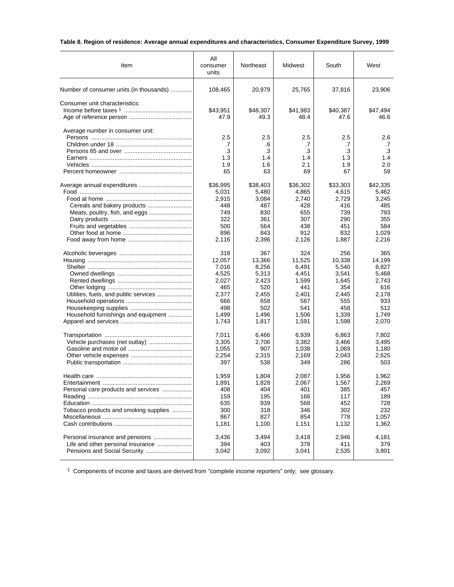# **Table 8. Region of residence: Average annual expenditures and characteristics, Consumer Expenditure Survey, 1999**

| Item                                    | All<br>consumer<br>units            | Northeast                           | Midwest<br>South                    |                                     | West                                |
|-----------------------------------------|-------------------------------------|-------------------------------------|-------------------------------------|-------------------------------------|-------------------------------------|
| Number of consumer units (in thousands) | 108,465                             | 20,979                              | 25,765                              | 37,816                              | 23,906                              |
| Consumer unit characteristics:          | \$43,951<br>47.9                    | \$48,307<br>49.3                    | \$41,983<br>48.4                    | \$40,387<br>47.6                    | \$47,494<br>46.6                    |
| Average number in consumer unit:        | 2.5<br>.7<br>.3<br>1.3<br>1.9<br>65 | 2.5<br>.6<br>.3<br>1.4<br>1.6<br>63 | 2.5<br>.7<br>.3<br>1.4<br>2.1<br>69 | 2.5<br>.7<br>.3<br>1.3<br>1.9<br>67 | 2.6<br>.7<br>.3<br>1.4<br>2.0<br>59 |
|                                         | \$36,995                            | \$38,403                            | \$36,302                            | \$33,303                            | \$42,335                            |
|                                         | 5,031                               | 5,480                               | 4,865                               | 4,615                               | 5,462                               |
|                                         | 2,915                               | 3,084                               | 2,740                               | 2.729                               | 3,245                               |
|                                         | 448                                 | 487                                 | 428                                 | 416                                 | 485                                 |
|                                         | 749                                 | 830                                 | 655                                 | 739                                 | 793                                 |
|                                         | 322                                 | 361                                 | 307                                 | 290                                 | 355                                 |
|                                         | 500                                 | 564                                 | 438                                 | 451                                 | 584                                 |
|                                         | 896                                 | 843                                 | 912                                 | 832                                 | 1,029                               |
|                                         | 2,116                               | 2,396                               | 2,126                               | 1,887                               | 2,216                               |
|                                         | 318                                 | 367                                 | 324                                 | 256                                 | 365                                 |
|                                         | 12,057                              | 13,366                              | 11,525                              | 10.338                              | 14,199                              |
|                                         | 7,016                               | 8,256                               | 6,491                               | 5,540                               | 8,827                               |
|                                         | 4,525                               | 5,313                               | 4,451                               | 3,541                               | 5,468                               |
|                                         | 2,027                               | 2,423                               | 1,599                               | 1,645                               | 2,743                               |
|                                         | 465                                 | 520                                 | 441                                 | 354                                 | 616                                 |
| Utilities, fuels, and public services   | 2,377                               | 2,455                               | 2,401                               | 2,445                               | 2,178                               |
|                                         | 666                                 | 658                                 | 587                                 | 555                                 | 933                                 |
|                                         | 498                                 | 502                                 | 541                                 | 458                                 | 512                                 |
| Household furnishings and equipment     | 1,499                               | 1,496                               | 1,506                               | 1,339                               | 1,749                               |
|                                         | 1,743                               | 1,817                               | 1,591                               | 1,598                               | 2,070                               |
|                                         | 7,011                               | 6,466                               | 6,939                               | 6,863                               | 7,802                               |
|                                         | 3,305                               | 2,706                               | 3,382                               | 3,466                               | 3,495                               |
|                                         | 1,055                               | 907                                 | 1,038                               | 1,069                               | 1,180                               |
|                                         | 2,254                               | 2,315                               | 2,169                               | 2,043                               | 2,625                               |
|                                         | 397                                 | 538                                 | 349                                 | 286                                 | 503                                 |
|                                         | 1,959                               | 1,804                               | 2,087                               | 1,956                               | 1,962                               |
|                                         | 1,891                               | 1,828                               | 2,067                               | 1,567                               | 2,269                               |
| Personal care products and services     | 408                                 | 404                                 | 401                                 | 385                                 | 457                                 |
|                                         | 159                                 | 195                                 | 166                                 | 117                                 | 189                                 |
|                                         | 635                                 | 939                                 | 568                                 | 452                                 | 728                                 |
| Tobacco products and smoking supplies   | 300                                 | 318                                 | 346                                 | 302                                 | 232                                 |
|                                         | 867                                 | 827                                 | 854                                 | 778                                 | 1,057                               |
|                                         | 1,181                               | 1,100                               | 1,151                               | 1,132                               | 1,362                               |
| Personal insurance and pensions         | 3,436                               | 3,494                               | 3,418                               | 2,946                               | 4,181                               |
| Life and other personal insurance       | 394                                 | 403                                 | 378                                 | 411                                 | 379                                 |
|                                         | 3,042                               | 3,092                               | 3,041                               | 2,535                               | 3,801                               |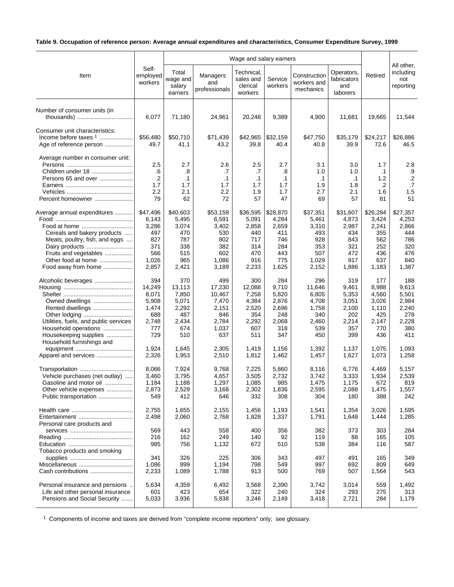# **Table 9. Occupation of reference person: Average annual expenditures and characteristics, Consumer Expenditure Survey, 1999**

|                                                                                                                                                                                                      | Self-<br>employed<br>workers                                             | Wage and salary earners                                                |                                                                           |                                                                        |                                                                        |                                                                          |                                                                        |                                                                        |                                                                        |
|------------------------------------------------------------------------------------------------------------------------------------------------------------------------------------------------------|--------------------------------------------------------------------------|------------------------------------------------------------------------|---------------------------------------------------------------------------|------------------------------------------------------------------------|------------------------------------------------------------------------|--------------------------------------------------------------------------|------------------------------------------------------------------------|------------------------------------------------------------------------|------------------------------------------------------------------------|
| Item                                                                                                                                                                                                 |                                                                          | Total<br>wage and<br>salary<br>earners                                 | Managers<br>and<br>professionals                                          | Technical,<br>sales and<br>clerical<br>workers                         | Service<br>workers                                                     | Construction<br>workers and<br>mechanics                                 | Operators,<br>fabricators<br>and<br>laborers                           | Retired                                                                | All other,<br>including<br>not<br>reporting                            |
| Number of consumer units (in                                                                                                                                                                         | 6,077                                                                    | 71,180                                                                 | 24,961                                                                    | 20,248                                                                 | 9,389                                                                  | 4,900                                                                    | 11,681                                                                 | 19,665                                                                 | 11,544                                                                 |
| Consumer unit characteristics:<br>Income before taxes $1$<br>Age of reference person                                                                                                                 | \$56,480<br>49.7                                                         | \$50,710<br>41.1                                                       | \$71,439<br>43.2                                                          | \$42,965<br>39.8                                                       | \$32,159<br>40.4                                                       | \$47,750<br>40.8                                                         | \$35,179<br>39.9                                                       | \$24,217<br>72.6                                                       | \$26,886<br>46.5                                                       |
| Average number in consumer unit:<br>Children under 18<br>Persons 65 and over<br>Percent homeowner                                                                                                    | 2.5<br>.6<br>.2<br>1.7<br>2.2<br>79                                      | 2.7<br>.8<br>$\cdot$ 1<br>1.7<br>2.1<br>62                             | 2.6<br>.7<br>$\cdot$ 1<br>1.7<br>2.2<br>72                                | 2.5<br>.7<br>$\cdot$ 1<br>1.7<br>1.9<br>57                             | 2.7<br>.8<br>$\cdot$ 1<br>1.7<br>1.7<br>47                             | 3.1<br>1.0<br>$\cdot$ 1<br>1.9<br>2.7<br>69                              | 3.0<br>1.0<br>$\cdot$ 1<br>1.8<br>2.1<br>57                            | 1.7<br>$\cdot$ 1<br>1.2<br>.2<br>1.6<br>81                             | 2.8<br>.9<br>$\cdot$ .2<br>.7<br>1.5<br>51                             |
| Average annual expenditures<br>Food at home<br>Cereals and bakery products<br>Meats, poultry, fish, and eggs<br>Dairy products<br>Fruits and vegetables<br>Other food at home<br>Food away from home | \$47,496<br>6,143<br>3,286<br>497<br>827<br>371<br>566<br>1,026<br>2,857 | \$40,603<br>5,495<br>3,074<br>470<br>787<br>338<br>515<br>965<br>2,421 | \$53,159<br>6,591<br>3,402<br>530<br>802<br>382<br>602<br>1,086<br>3,189  | \$36,595<br>5,091<br>2,858<br>440<br>717<br>314<br>470<br>916<br>2,233 | \$28,870<br>4,284<br>2,659<br>411<br>746<br>284<br>443<br>775<br>1,625 | \$37,351<br>5,461<br>3,310<br>493<br>928<br>353<br>507<br>1,029<br>2,152 | \$31,607<br>4,873<br>2,987<br>434<br>843<br>321<br>472<br>917<br>1,886 | \$26,284<br>3,424<br>2,241<br>355<br>562<br>252<br>436<br>637<br>1,183 | \$27,357<br>4,253<br>2,866<br>444<br>786<br>320<br>476<br>840<br>1,387 |
| Alcoholic beverages<br>Owned dwellings<br>Rented dwellings<br>Other lodging<br>Utilities, fuels, and public services<br>Household operations<br>Housekeeping supplies                                | 394<br>14,249<br>8,071<br>5,908<br>1,474<br>688<br>2,748<br>777<br>729   | 370<br>13,113<br>7,850<br>5,071<br>2,292<br>487<br>2,434<br>674<br>510 | 499<br>17,230<br>10,467<br>7,470<br>2,151<br>846<br>2,784<br>1,037<br>637 | 300<br>12,088<br>7,258<br>4,384<br>2,520<br>354<br>2,292<br>607<br>511 | 284<br>9,710<br>5,820<br>2,876<br>2,696<br>248<br>2,068<br>318<br>347  | 296<br>11,646<br>6,805<br>4,708<br>1,758<br>340<br>2,460<br>539<br>450   | 319<br>9,461<br>5,353<br>3,051<br>2,100<br>202<br>2,214<br>357<br>399  | 177<br>8,988<br>4,560<br>3,026<br>1,110<br>425<br>2,147<br>770<br>436  | 188<br>9,613<br>5,501<br>2,984<br>2,240<br>278<br>2,228<br>380<br>411  |
| Household furnishings and<br>Apparel and services                                                                                                                                                    | 1,924<br>2,326                                                           | 1,645<br>1,953                                                         | 2,305<br>2,510                                                            | 1.419<br>1,812                                                         | 1,156<br>1,462                                                         | 1,392<br>1,457                                                           | 1.137<br>1,627                                                         | 1,075<br>1,073                                                         | 1,093<br>1,258                                                         |
| Transportation<br>Vehicle purchases (net outlay)<br>Gasoline and motor oil<br>Other vehicle expenses<br>Public transportation                                                                        | 8,066<br>3,460<br>1,184<br>2,873<br>549                                  | 7,924<br>3,795<br>1,188<br>2,529<br>412                                | 9,768<br>4,657<br>1,297<br>3,168<br>646                                   | 7,225<br>3,505<br>1,085<br>2,302<br>332                                | 5,860<br>2,732<br>985<br>1,836<br>308                                  | 8,116<br>3,742<br>1,475<br>2,595<br>304                                  | 6,776<br>3,333<br>1,175<br>2,088<br>180                                | 4,469<br>1,934<br>672<br>1,475<br>388                                  | 5,157<br>2,539<br>819<br>1,557<br>242                                  |
| Entertainment<br>Personal care products and                                                                                                                                                          | 2,755<br>2,498                                                           | 1,655<br>2,060                                                         | 2,155<br>2,768                                                            | 1,456<br>1,828                                                         | 1,193<br>1,337                                                         | 1,541<br>1,791                                                           | 1,354<br>1,648                                                         | 3,026<br>1,444                                                         | 1,595<br>1,285                                                         |
| Tobacco products and smoking                                                                                                                                                                         | 569<br>216<br>985                                                        | 443<br>162<br>756                                                      | 558<br>249<br>1,132                                                       | 400<br>140<br>672                                                      | 356<br>92<br>510                                                       | 382<br>119<br>538                                                        | 373<br>88<br>384                                                       | 303<br>165<br>116                                                      | 284<br>105<br>587                                                      |
| Miscellaneous<br>Cash contributions                                                                                                                                                                  | 341<br>1,086<br>2,233                                                    | 326<br>899<br>1,089                                                    | 225<br>1,194<br>1,788                                                     | 306<br>798<br>913                                                      | 343<br>549<br>500                                                      | 497<br>997<br>769                                                        | 491<br>692<br>507                                                      | 165<br>809<br>1,564                                                    | 349<br>649<br>543                                                      |
| Personal insurance and pensions.<br>Life and other personal insurance<br>Pensions and Social Security                                                                                                | 5,634<br>601<br>5,033                                                    | 4,359<br>423<br>3,936                                                  | 6,492<br>654<br>5,838                                                     | 3,568<br>322<br>3,246                                                  | 2,390<br>240<br>2,149                                                  | 3,742<br>324<br>3,418                                                    | 3,014<br>293<br>2,721                                                  | 559<br>275<br>284                                                      | 1,492<br>313<br>1,179                                                  |